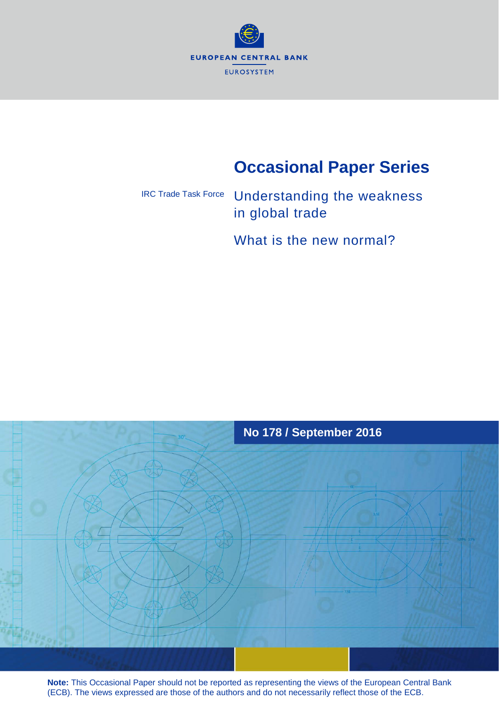

# **Occasional Paper Series**

## Understanding the weakness in global trade IRC Trade Task Force

What is the new normal?



**Note:** This Occasional Paper should not be reported as representing the views of the European Central Bank (ECB). The views expressed are those of the authors and do not necessarily reflect those of the ECB.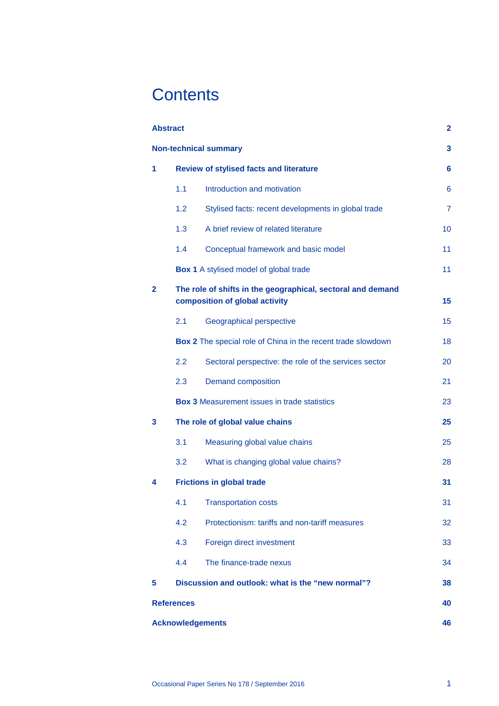# **Contents**

| <b>Abstract</b>                                        |                                                |                                                                                               |                |  |  |
|--------------------------------------------------------|------------------------------------------------|-----------------------------------------------------------------------------------------------|----------------|--|--|
| <b>Non-technical summary</b>                           |                                                |                                                                                               |                |  |  |
| 1                                                      | <b>Review of stylised facts and literature</b> |                                                                                               |                |  |  |
|                                                        | 1.1                                            | Introduction and motivation                                                                   | 6              |  |  |
|                                                        | 1.2                                            | Stylised facts: recent developments in global trade                                           | $\overline{7}$ |  |  |
|                                                        | 1.3                                            | A brief review of related literature                                                          | 10             |  |  |
|                                                        | 1.4                                            | Conceptual framework and basic model                                                          | 11             |  |  |
|                                                        |                                                | <b>Box 1</b> A stylised model of global trade                                                 | 11             |  |  |
| $\mathbf{2}$                                           |                                                | The role of shifts in the geographical, sectoral and demand<br>composition of global activity | 15             |  |  |
|                                                        | 2.1                                            | Geographical perspective                                                                      | 15             |  |  |
|                                                        |                                                | Box 2 The special role of China in the recent trade slowdown                                  | 18             |  |  |
|                                                        | 2.2                                            | Sectoral perspective: the role of the services sector                                         | 20             |  |  |
|                                                        | 2.3                                            | <b>Demand composition</b>                                                                     | 21             |  |  |
|                                                        |                                                | <b>Box 3 Measurement issues in trade statistics</b>                                           | 23             |  |  |
| 3                                                      | The role of global value chains                |                                                                                               |                |  |  |
|                                                        | 3.1                                            | Measuring global value chains                                                                 | 25             |  |  |
|                                                        | 3.2                                            | What is changing global value chains?                                                         | 28             |  |  |
| 4                                                      |                                                | <b>Frictions in global trade</b>                                                              | 31             |  |  |
|                                                        |                                                | 4.1 Transportation costs                                                                      | 31             |  |  |
|                                                        | 4.2                                            | Protectionism: tariffs and non-tariff measures                                                | 32             |  |  |
|                                                        | 4.3                                            | Foreign direct investment                                                                     | 33             |  |  |
|                                                        | 4.4                                            | The finance-trade nexus                                                                       | 34             |  |  |
| Discussion and outlook: what is the "new normal"?<br>5 |                                                |                                                                                               |                |  |  |
| <b>References</b>                                      |                                                |                                                                                               |                |  |  |
| <b>Acknowledgements</b><br>46                          |                                                |                                                                                               |                |  |  |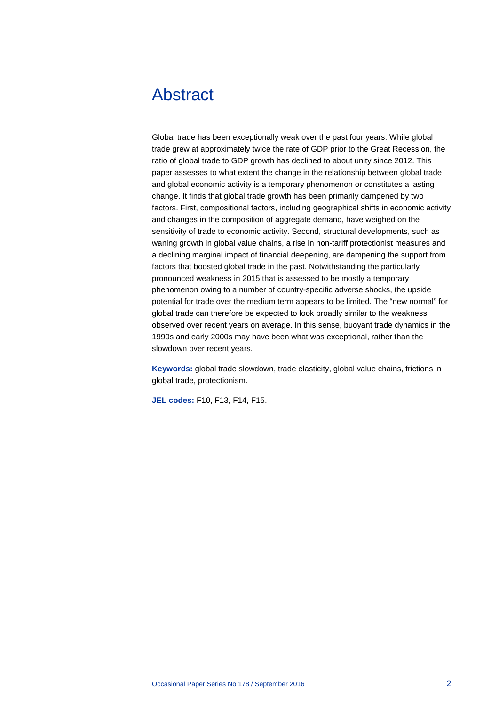# <span id="page-2-0"></span>Abstract

Global trade has been exceptionally weak over the past four years. While global trade grew at approximately twice the rate of GDP prior to the Great Recession, the ratio of global trade to GDP growth has declined to about unity since 2012. This paper assesses to what extent the change in the relationship between global trade and global economic activity is a temporary phenomenon or constitutes a lasting change. It finds that global trade growth has been primarily dampened by two factors. First, compositional factors, including geographical shifts in economic activity and changes in the composition of aggregate demand, have weighed on the sensitivity of trade to economic activity. Second, structural developments, such as waning growth in global value chains, a rise in non-tariff protectionist measures and a declining marginal impact of financial deepening, are dampening the support from factors that boosted global trade in the past. Notwithstanding the particularly pronounced weakness in 2015 that is assessed to be mostly a temporary phenomenon owing to a number of country-specific adverse shocks, the upside potential for trade over the medium term appears to be limited. The "new normal" for global trade can therefore be expected to look broadly similar to the weakness observed over recent years on average. In this sense, buoyant trade dynamics in the 1990s and early 2000s may have been what was exceptional, rather than the slowdown over recent years.

**Keywords:** global trade slowdown, trade elasticity, global value chains, frictions in global trade, protectionism.

**JEL codes:** F10, F13, F14, F15.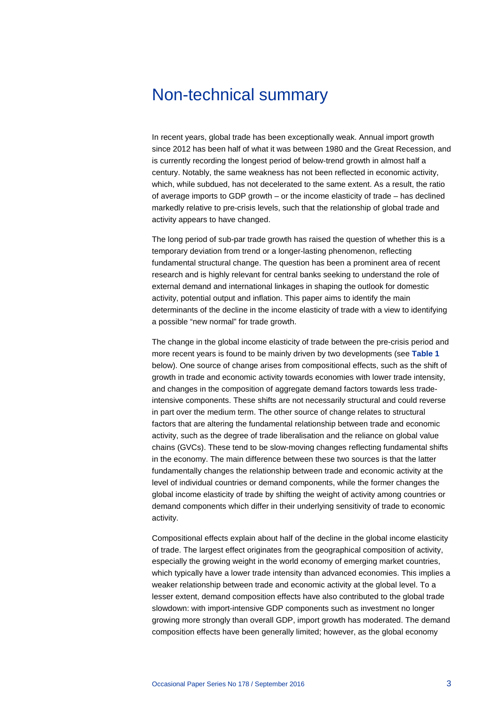# <span id="page-3-0"></span>Non-technical summary

In recent years, global trade has been exceptionally weak. Annual import growth since 2012 has been half of what it was between 1980 and the Great Recession, and is currently recording the longest period of below-trend growth in almost half a century. Notably, the same weakness has not been reflected in economic activity, which, while subdued, has not decelerated to the same extent. As a result, the ratio of average imports to GDP growth – or the income elasticity of trade – has declined markedly relative to pre-crisis levels, such that the relationship of global trade and activity appears to have changed.

The long period of sub-par trade growth has raised the question of whether this is a temporary deviation from trend or a longer-lasting phenomenon, reflecting fundamental structural change. The question has been a prominent area of recent research and is highly relevant for central banks seeking to understand the role of external demand and international linkages in shaping the outlook for domestic activity, potential output and inflation. This paper aims to identify the main determinants of the decline in the income elasticity of trade with a view to identifying a possible "new normal" for trade growth.

The change in the global income elasticity of trade between the pre-crisis period and more recent years is found to be mainly driven by two developments (see **[Table 1](#page-4-0)** below). One source of change arises from compositional effects, such as the shift of growth in trade and economic activity towards economies with lower trade intensity, and changes in the composition of aggregate demand factors towards less tradeintensive components. These shifts are not necessarily structural and could reverse in part over the medium term. The other source of change relates to structural factors that are altering the fundamental relationship between trade and economic activity, such as the degree of trade liberalisation and the reliance on global value chains (GVCs). These tend to be slow-moving changes reflecting fundamental shifts in the economy. The main difference between these two sources is that the latter fundamentally changes the relationship between trade and economic activity at the level of individual countries or demand components, while the former changes the global income elasticity of trade by shifting the weight of activity among countries or demand components which differ in their underlying sensitivity of trade to economic activity.

Compositional effects explain about half of the decline in the global income elasticity of trade. The largest effect originates from the geographical composition of activity, especially the growing weight in the world economy of emerging market countries, which typically have a lower trade intensity than advanced economies. This implies a weaker relationship between trade and economic activity at the global level. To a lesser extent, demand composition effects have also contributed to the global trade slowdown: with import-intensive GDP components such as investment no longer growing more strongly than overall GDP, import growth has moderated. The demand composition effects have been generally limited; however, as the global economy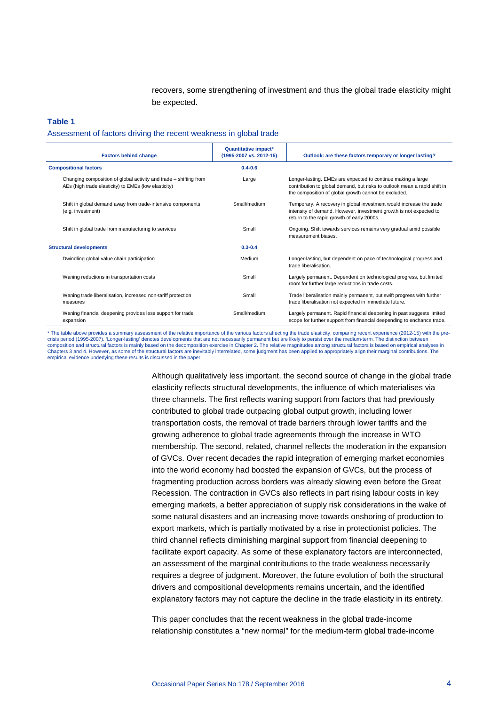recovers, some strengthening of investment and thus the global trade elasticity might be expected.

#### <span id="page-4-0"></span>**Table 1**

Assessment of factors driving the recent weakness in global trade

| <b>Factors behind change</b>                                                                                              | Quantitative impact*<br>(1995-2007 vs. 2012-15) | Outlook: are these factors temporary or longer lasting?                                                                                                                                           |
|---------------------------------------------------------------------------------------------------------------------------|-------------------------------------------------|---------------------------------------------------------------------------------------------------------------------------------------------------------------------------------------------------|
| <b>Compositional factors</b>                                                                                              | $0.4 - 0.6$                                     |                                                                                                                                                                                                   |
| Changing composition of global activity and trade – shifting from<br>AEs (high trade elasticity) to EMEs (low elasticity) | Large                                           | Longer-lasting. EMEs are expected to continue making a large<br>contribution to global demand, but risks to outlook mean a rapid shift in<br>the composition of global growth cannot be excluded. |
| Shift in global demand away from trade-intensive components<br>(e.g. investment)                                          | Small/medium                                    | Temporary. A recovery in global investment would increase the trade<br>intensity of demand. However, investment growth is not expected to<br>return to the rapid growth of early 2000s.           |
| Shift in global trade from manufacturing to services                                                                      | Small                                           | Ongoing. Shift towards services remains very gradual amid possible<br>measurement biases.                                                                                                         |
| <b>Structural developments</b>                                                                                            | $0.3 - 0.4$                                     |                                                                                                                                                                                                   |
| Dwindling global value chain participation                                                                                | Medium                                          | Longer-lasting, but dependent on pace of technological progress and<br>trade liberalisation.                                                                                                      |
| Waning reductions in transportation costs                                                                                 | Small                                           | Largely permanent. Dependent on technological progress, but limited<br>room for further large reductions in trade costs.                                                                          |
| Waning trade liberalisation, increased non-tariff protection<br>measures                                                  | Small                                           | Trade liberalisation mainly permanent, but swift progress with further<br>trade liberalisation not expected in immediate future.                                                                  |
| Waning financial deepening provides less support for trade<br>expansion                                                   | Small/medium                                    | Largely permanent. Rapid financial deepening in past suggests limited<br>scope for further support from financial deepending to enchance trade.                                                   |

\* The table above provides a summary assessment of the relative importance of the various factors affecting the trade elasticity, comparing recent experience (2012-15) with the precrisis period (1995-2007). 'Longer-lasting' denotes developments that are not necessarily permanent but are likely to persist over the medium-term. The distinction betw composition and structural factors is mainly based on the decomposition exercise in Chapter 2. The relative magnitudes among structural factors is based on empirical analyses in Chapters 3 and 4. However, as some of the structural factors are inevitably interrelated, some judgment has been applied to appropriately align their marginal contributions. The empirical evidence underlying these results is discussed in the paper

> Although qualitatively less important, the second source of change in the global trade elasticity reflects structural developments, the influence of which materialises via three channels. The first reflects waning support from factors that had previously contributed to global trade outpacing global output growth, including lower transportation costs, the removal of trade barriers through lower tariffs and the growing adherence to global trade agreements through the increase in WTO membership. The second, related, channel reflects the moderation in the expansion of GVCs. Over recent decades the rapid integration of emerging market economies into the world economy had boosted the expansion of GVCs, but the process of fragmenting production across borders was already slowing even before the Great Recession. The contraction in GVCs also reflects in part rising labour costs in key emerging markets, a better appreciation of supply risk considerations in the wake of some natural disasters and an increasing move towards onshoring of production to export markets, which is partially motivated by a rise in protectionist policies. The third channel reflects diminishing marginal support from financial deepening to facilitate export capacity. As some of these explanatory factors are interconnected, an assessment of the marginal contributions to the trade weakness necessarily requires a degree of judgment. Moreover, the future evolution of both the structural drivers and compositional developments remains uncertain, and the identified explanatory factors may not capture the decline in the trade elasticity in its entirety.

This paper concludes that the recent weakness in the global trade-income relationship constitutes a "new normal" for the medium-term global trade-income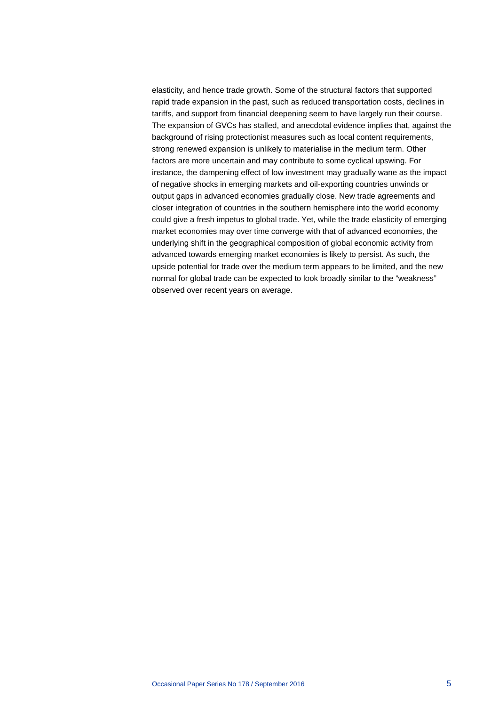elasticity, and hence trade growth. Some of the structural factors that supported rapid trade expansion in the past, such as reduced transportation costs, declines in tariffs, and support from financial deepening seem to have largely run their course. The expansion of GVCs has stalled, and anecdotal evidence implies that, against the background of rising protectionist measures such as local content requirements, strong renewed expansion is unlikely to materialise in the medium term. Other factors are more uncertain and may contribute to some cyclical upswing. For instance, the dampening effect of low investment may gradually wane as the impact of negative shocks in emerging markets and oil-exporting countries unwinds or output gaps in advanced economies gradually close. New trade agreements and closer integration of countries in the southern hemisphere into the world economy could give a fresh impetus to global trade. Yet, while the trade elasticity of emerging market economies may over time converge with that of advanced economies, the underlying shift in the geographical composition of global economic activity from advanced towards emerging market economies is likely to persist. As such, the upside potential for trade over the medium term appears to be limited, and the new normal for global trade can be expected to look broadly similar to the "weakness" observed over recent years on average.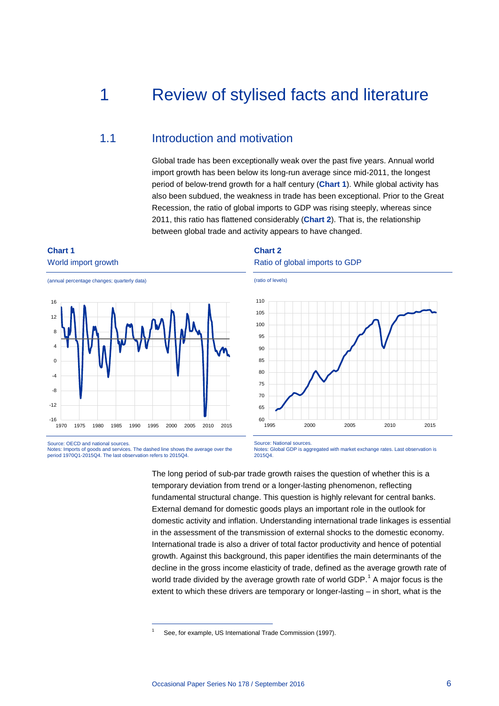# <span id="page-6-0"></span>1 Review of stylised facts and literature

## <span id="page-6-1"></span>1.1 Introduction and motivation

Global trade has been exceptionally weak over the past five years. Annual world import growth has been below its long-run average since mid-2011, the longest period of below-trend growth for a half century (**[Chart 1](#page-6-2)**). While global activity has also been subdued, the weakness in trade has been exceptional. Prior to the Great Recession, the ratio of global imports to GDP was rising steeply, whereas since 2011, this ratio has flattened considerably (**[Chart 2](#page-6-3)**). That is, the relationship between global trade and activity appears to have changed.

## <span id="page-6-2"></span>**Chart 1** World import growth





Source: OECD and national sources. Notes: Imports of goods and services. The dashed line shows the average over the period 1970Q1-2015Q4. The last observation refers to 2015Q4.

<span id="page-6-4"></span>-

<span id="page-6-3"></span>**Chart 2** Ratio of global imports to GDP



Source: National sources. Notes: Global GDP is aggregated with market exchange rates. Last observation is 2015Q4.

The long period of sub-par trade growth raises the question of whether this is a temporary deviation from trend or a longer-lasting phenomenon, reflecting fundamental structural change. This question is highly relevant for central banks. External demand for domestic goods plays an important role in the outlook for domestic activity and inflation. Understanding international trade linkages is essential in the assessment of the transmission of external shocks to the domestic economy. International trade is also a driver of total factor productivity and hence of potential growth. Against this background, this paper identifies the main determinants of the decline in the gross income elasticity of trade, defined as the average growth rate of world trade divided by the average growth rate of world GDP.<sup>[1](#page-6-4)</sup> A major focus is the extent to which these drivers are temporary or longer-lasting – in short, what is the

See, for example, US International Trade Commission (1997).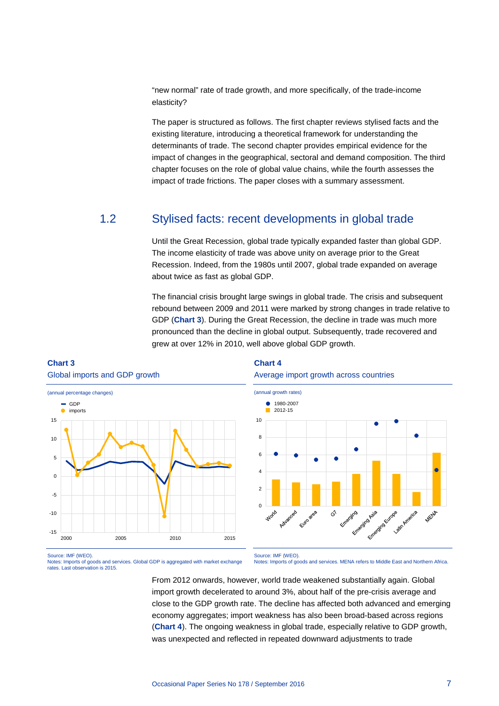"new normal" rate of trade growth, and more specifically, of the trade-income elasticity?

The paper is structured as follows. The first chapter reviews stylised facts and the existing literature, introducing a theoretical framework for understanding the determinants of trade. The second chapter provides empirical evidence for the impact of changes in the geographical, sectoral and demand composition. The third chapter focuses on the role of global value chains, while the fourth assesses the impact of trade frictions. The paper closes with a summary assessment.

## <span id="page-7-0"></span>1.2 Stylised facts: recent developments in global trade

Until the Great Recession, global trade typically expanded faster than global GDP. The income elasticity of trade was above unity on average prior to the Great Recession. Indeed, from the 1980s until 2007, global trade expanded on average about twice as fast as global GDP.

The financial crisis brought large swings in global trade. The crisis and subsequent rebound between 2009 and 2011 were marked by strong changes in trade relative to GDP (**[Chart 3](#page-7-1)**). During the Great Recession, the decline in trade was much more pronounced than the decline in global output. Subsequently, trade recovered and grew at over 12% in 2010, well above global GDP growth.

## <span id="page-7-1"></span>**Chart 3**





## <span id="page-7-2"></span>**Chart 4**





Source: IMF (WEO).

Notes: Imports of goods and services. Global GDP is aggregated with market exchange rates. Last observation is 2015.

Source: IMF (WEO).

Notes: Imports of goods and services. MENA refers to Middle East and Northern Africa.

From 2012 onwards, however, world trade weakened substantially again. Global import growth decelerated to around 3%, about half of the pre-crisis average and close to the GDP growth rate. The decline has affected both advanced and emerging economy aggregates; import weakness has also been broad-based across regions (**[Chart 4](#page-7-2)**). The ongoing weakness in global trade, especially relative to GDP growth, was unexpected and reflected in repeated downward adjustments to trade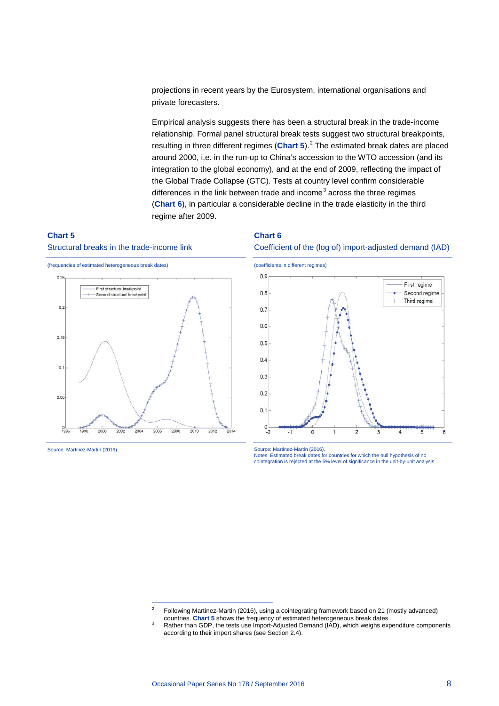projections in recent years by the Eurosystem, international organisations and private forecasters.

Empirical analysis suggests there has been a structural break in the trade-income relationship. Formal panel structural break tests suggest two structural breakpoints, resulting in three different regimes ([Chart 5](#page-8-0)).<sup>[2](#page-8-2)</sup> The estimated break dates are placed around 2000, i.e. in the run-up to China's accession to the WTO accession (and its integration to the global economy), and at the end of 2009, reflecting the impact of the Global Trade Collapse (GTC). Tests at country level confirm considerable differences in the link between trade and income<sup>[3](#page-8-3)</sup> across the three regimes (**[Chart](#page-8-1) 6**), in particular a considerable decline in the trade elasticity in the third regime after 2009.

## <span id="page-8-0"></span>**Chart 5**





-

Source: Martinez-Martin (2016).

## <span id="page-8-1"></span>**Chart 6**





Source: Martinez-Martin (2016).

Notes: Estimated break dates for countries for which the null hypothesis of no cointegration is rejected at the 5% level of significance in the unit-by-unit analysis.

Following Martinez-Martin (2016), using a cointegrating framework based on 21 (mostly advanced) countries. Chart 5 shows the frequency of estimated heterogeneous break dates.

<span id="page-8-3"></span><span id="page-8-2"></span>Rather than GDP, the tests use Import-Adjusted Demand (IAD), which weighs expenditure components according to their import shares (see Section 2.4).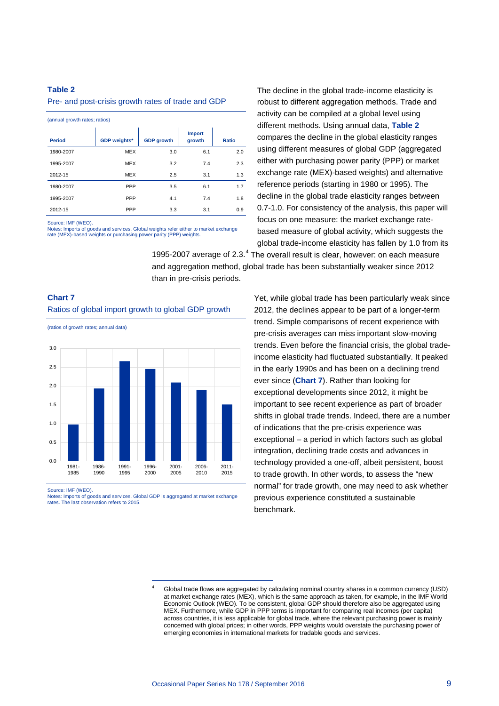## <span id="page-9-0"></span>**Table 2**

#### Pre- and post-crisis growth rates of trade and GDP

| (annual growth rates; ratios) |                     |                   |                         |       |  |  |
|-------------------------------|---------------------|-------------------|-------------------------|-------|--|--|
| <b>Period</b>                 | <b>GDP</b> weights* | <b>GDP</b> growth | <b>Import</b><br>growth | Ratio |  |  |
| 1980-2007                     | <b>MEX</b>          | 3.0               | 6.1                     | 2.0   |  |  |
| 1995-2007                     | <b>MEX</b>          | 3.2               | 7.4                     | 2.3   |  |  |
| 2012-15                       | <b>MEX</b>          | 2.5               | 3.1                     | 1.3   |  |  |
| 1980-2007                     | PPP                 | 3.5               | 6.1                     | 1.7   |  |  |
| 1995-2007                     | PPP                 | 4.1               | 7.4                     | 1.8   |  |  |
| 2012-15                       | PPP                 | 3.3               | 3.1                     | 0.9   |  |  |

Source: IMF (WEO).

Notes: Imports of goods and services. Global weights refer either to market exchange rate (MEX)-based weights or purchasing power parity (PPP) weights.

The decline in the global trade-income elasticity is robust to different aggregation methods. Trade and activity can be compiled at a global level using different methods. Using annual data, **[Table 2](#page-9-0)** compares the decline in the global elasticity ranges using different measures of global GDP (aggregated either with purchasing power parity (PPP) or market exchange rate (MEX)-based weights) and alternative reference periods (starting in 1980 or 1995). The decline in the global trade elasticity ranges between 0.7-1.0. For consistency of the analysis, this paper will focus on one measure: the market exchange ratebased measure of global activity, which suggests the global trade-income elasticity has fallen by 1.0 from its

1995-2007 average of  $2.3.^4$  $2.3.^4$  The overall result is clear, however: on each measure and aggregation method, global trade has been substantially weaker since 2012 than in pre-crisis periods.

## **Chart 7** Ratios of global import growth to global GDP growth

(ratios of growth rates; annual data)



Source: IMF (WEO).

<span id="page-9-1"></span>Notes: Imports of goods and services. Global GDP is aggregated at market exchange rates. The last observation refers to 2015.

-

Yet, while global trade has been particularly weak since 2012, the declines appear to be part of a longer-term trend. Simple comparisons of recent experience with pre-crisis averages can miss important slow-moving trends. Even before the financial crisis, the global tradeincome elasticity had fluctuated substantially. It peaked in the early 1990s and has been on a declining trend ever since (**Chart 7**). Rather than looking for exceptional developments since 2012, it might be important to see recent experience as part of broader shifts in global trade trends. Indeed, there are a number of indications that the pre-crisis experience was exceptional – a period in which factors such as global integration, declining trade costs and advances in technology provided a one-off, albeit persistent, boost to trade growth. In other words, to assess the "new normal" for trade growth, one may need to ask whether previous experience constituted a sustainable benchmark.

<sup>4</sup> Global trade flows are aggregated by calculating nominal country shares in a common currency (USD) at market exchange rates (MEX), which is the same approach as taken, for example, in the IMF World Economic Outlook (WEO). To be consistent, global GDP should therefore also be aggregated using MEX. Furthermore, while GDP in PPP terms is important for comparing real incomes (per capita) across countries, it is less applicable for global trade, where the relevant purchasing power is mainly concerned with global prices; in other words, PPP weights would overstate the purchasing power of emerging economies in international markets for tradable goods and services.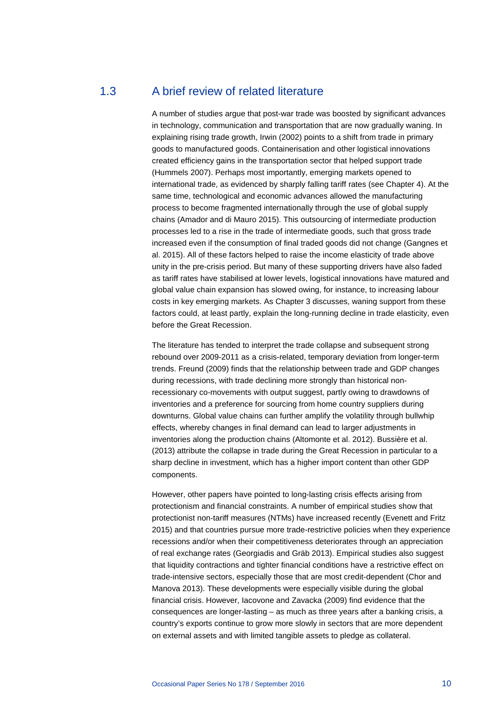## <span id="page-10-0"></span>1.3 A brief review of related literature

A number of studies argue that post-war trade was boosted by significant advances in technology, communication and transportation that are now gradually waning. In explaining rising trade growth, Irwin (2002) points to a shift from trade in primary goods to manufactured goods. Containerisation and other logistical innovations created efficiency gains in the transportation sector that helped support trade (Hummels 2007). Perhaps most importantly, emerging markets opened to international trade, as evidenced by sharply falling tariff rates (see Chapter 4). At the same time, technological and economic advances allowed the manufacturing process to become fragmented internationally through the use of global supply chains (Amador and di Mauro 2015). This outsourcing of intermediate production processes led to a rise in the trade of intermediate goods, such that gross trade increased even if the consumption of final traded goods did not change (Gangnes et al. 2015). All of these factors helped to raise the income elasticity of trade above unity in the pre-crisis period. But many of these supporting drivers have also faded as tariff rates have stabilised at lower levels, logistical innovations have matured and global value chain expansion has slowed owing, for instance, to increasing labour costs in key emerging markets. As Chapter 3 discusses, waning support from these factors could, at least partly, explain the long-running decline in trade elasticity, even before the Great Recession.

The literature has tended to interpret the trade collapse and subsequent strong rebound over 2009-2011 as a crisis-related, temporary deviation from longer-term trends. Freund (2009) finds that the relationship between trade and GDP changes during recessions, with trade declining more strongly than historical nonrecessionary co-movements with output suggest, partly owing to drawdowns of inventories and a preference for sourcing from home country suppliers during downturns. Global value chains can further amplify the volatility through bullwhip effects, whereby changes in final demand can lead to larger adjustments in inventories along the production chains (Altomonte et al. 2012). Bussière et al. (2013) attribute the collapse in trade during the Great Recession in particular to a sharp decline in investment, which has a higher import content than other GDP components.

However, other papers have pointed to long-lasting crisis effects arising from protectionism and financial constraints. A number of empirical studies show that protectionist non-tariff measures (NTMs) have increased recently (Evenett and Fritz 2015) and that countries pursue more trade-restrictive policies when they experience recessions and/or when their competitiveness deteriorates through an appreciation of real exchange rates (Georgiadis and Gräb 2013). Empirical studies also suggest that liquidity contractions and tighter financial conditions have a restrictive effect on trade-intensive sectors, especially those that are most credit-dependent (Chor and Manova 2013). These developments were especially visible during the global financial crisis. However, Iacovone and Zavacka (2009) find evidence that the consequences are longer-lasting – as much as three years after a banking crisis, a country's exports continue to grow more slowly in sectors that are more dependent on external assets and with limited tangible assets to pledge as collateral.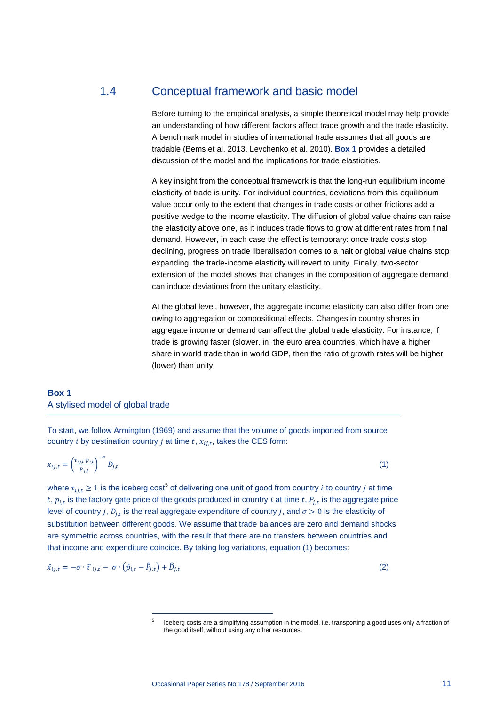## <span id="page-11-0"></span>1.4 Conceptual framework and basic model

Before turning to the empirical analysis, a simple theoretical model may help provide an understanding of how different factors affect trade growth and the trade elasticity. A benchmark model in studies of international trade assumes that all goods are tradable (Bems et al. 2013, Levchenko et al. 2010). **[Box 1](#page-11-1)** provides a detailed discussion of the model and the implications for trade elasticities.

A key insight from the conceptual framework is that the long-run equilibrium income elasticity of trade is unity. For individual countries, deviations from this equilibrium value occur only to the extent that changes in trade costs or other frictions add a positive wedge to the income elasticity. The diffusion of global value chains can raise the elasticity above one, as it induces trade flows to grow at different rates from final demand. However, in each case the effect is temporary: once trade costs stop declining, progress on trade liberalisation comes to a halt or global value chains stop expanding, the trade-income elasticity will revert to unity. Finally, two-sector extension of the model shows that changes in the composition of aggregate demand can induce deviations from the unitary elasticity.

At the global level, however, the aggregate income elasticity can also differ from one owing to aggregation or compositional effects. Changes in country shares in aggregate income or demand can affect the global trade elasticity. For instance, if trade is growing faster (slower, in the euro area countries, which have a higher share in world trade than in world GDP, then the ratio of growth rates will be higher (lower) than unity.

## <span id="page-11-1"></span>**Box 1** A stylised model of global trade

To start, we follow Armington (1969) and assume that the volume of goods imported from source country *i* by destination country *j* at time  $t$ ,  $x_{i,i,t}$ , takes the CES form:

$$
x_{ij,t} = \left(\frac{\tau_{ij,t} p_{i,t}}{p_{j,t}}\right)^{-\sigma} D_{j,t} \tag{1}
$$

where  $\tau_{i,j,t} \geq 1$  is the iceberg cost<sup>[5](#page-11-2)</sup> of delivering one unit of good from country *i* to country *j* at time  $t, p_{i,t}$  is the factory gate price of the goods produced in country *i* at time  $t, P_{i,t}$  is the aggregate price level of country *i*,  $D_{i,t}$  is the real aggregate expenditure of country *i*, and  $\sigma > 0$  is the elasticity of substitution between different goods. We assume that trade balances are zero and demand shocks are symmetric across countries, with the result that there are no transfers between countries and that income and expenditure coincide. By taking log variations, equation (1) becomes:

<span id="page-11-2"></span>
$$
\hat{x}_{ij,t} = -\sigma \cdot \hat{\tau}_{ij,t} - \sigma \cdot (\hat{p}_{i,t} - \hat{P}_{j,t}) + \hat{D}_{j,t}
$$
\n(2)

-

Iceberg costs are a simplifying assumption in the model, i.e. transporting a good uses only a fraction of the good itself, without using any other resources.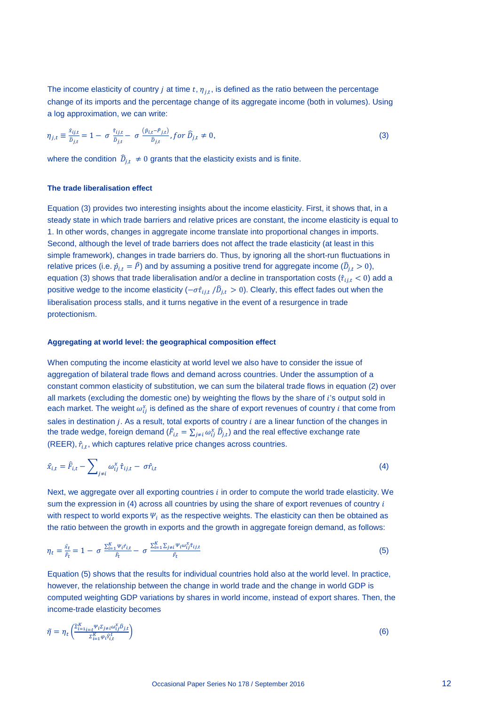The income elasticity of country *j* at time  $t$ ,  $\eta_{j,t}$ , is defined as the ratio between the percentage change of its imports and the percentage change of its aggregate income (both in volumes). Using a log approximation, we can write:

$$
\eta_{j,t} \equiv \frac{\hat{x}_{ij,t}}{\hat{D}_{j,t}} = 1 - \sigma \frac{\hat{\tau}_{ij,t}}{\hat{D}_{j,t}} - \sigma \frac{(\hat{p}_{i,t} - \hat{p}_{j,t})}{\hat{D}_{j,t}} \text{ for } \hat{D}_{j,t} \neq 0,
$$
\n(3)

where the condition  $\hat{D}_{i,t} \neq 0$  grants that the elasticity exists and is finite.

#### **The trade liberalisation effect**

Equation (3) provides two interesting insights about the income elasticity. First, it shows that, in a steady state in which trade barriers and relative prices are constant, the income elasticity is equal to 1. In other words, changes in aggregate income translate into proportional changes in imports. Second, although the level of trade barriers does not affect the trade elasticity (at least in this simple framework), changes in trade barriers do. Thus, by ignoring all the short-run fluctuations in relative prices (i.e.  $\hat{p}_{i,t} = P$ ) and by assuming a positive trend for aggregate income ( $D_{j,t} > 0$ ), equation (3) shows that trade liberalisation and/or a decline in transportation costs ( $\hat{\tau}_{ij,t}$  < 0) add a positive wedge to the income elasticity ( $-\sigma \hat{\tau}_{ij,t}$  /D $_{j,t}$   $>$  0). Clearly, this effect fades out when the liberalisation process stalls, and it turns negative in the event of a resurgence in trade protectionism.

#### **Aggregating at world level: the geographical composition effect**

When computing the income elasticity at world level we also have to consider the issue of aggregation of bilateral trade flows and demand across countries. Under the assumption of a constant common elasticity of substitution, we can sum the bilateral trade flows in equation (2) over all markets (excluding the domestic one) by weighting the flows by the share of 's output sold in each market. The weight  $\omega_{ij}^x$  is defined as the share of export revenues of country  $i$  that come from sales in destination  $j$ . As a result, total exports of country  $i$  are a linear function of the changes in the trade wedge, foreign demand ( $F_{i,t} = \sum_{j \neq i} \omega_{ij}^x \, \bar{D}_{j,t}$ ) and the real effective exchange rate (REER),  $\hat{r}_{i,t}$ , which captures relative price changes across countries.

$$
\hat{x}_{i,t} = \hat{F}_{i,t} - \sum_{j \neq i} \omega_{ij}^x \hat{\tau}_{ij,t} - \sigma \hat{r}_{i,t}
$$
\n(4)

Next, we aggregate over all exporting countries  $i$  in order to compute the world trade elasticity. We sum the expression in  $(4)$  across all countries by using the share of export revenues of country  $i$ with respect to world exports  $\Psi_i$  as the respective weights. The elasticity can then be obtained as the ratio between the growth in exports and the growth in aggregate foreign demand, as follows:

$$
\eta_t = \frac{\hat{x}_t}{\hat{r}_t} = 1 - \sigma \frac{\sum_{i=1}^K \psi_i \hat{r}_{i,t}}{\hat{r}_t} - \sigma \frac{\sum_{i=1}^K \sum_{j \neq i} \psi_i \omega_{ij}^x \hat{r}_{ij,t}}{\hat{r}_t}
$$
(5)

Equation (5) shows that the results for individual countries hold also at the world level. In practice, however, the relationship between the change in world trade and the change in world GDP is computed weighting GDP variations by shares in world income, instead of export shares. Then, the income-trade elasticity becomes

$$
\tilde{\eta} = \eta_t \left( \frac{\tilde{\Sigma}_{i=1}^K \tilde{\Sigma}_{j \neq i} \omega_{ij}^{\chi} \tilde{D}_{j,t}}{\Sigma_{i=1}^K \varphi_i \hat{\gamma}_{i,t}^t} \right) \tag{6}
$$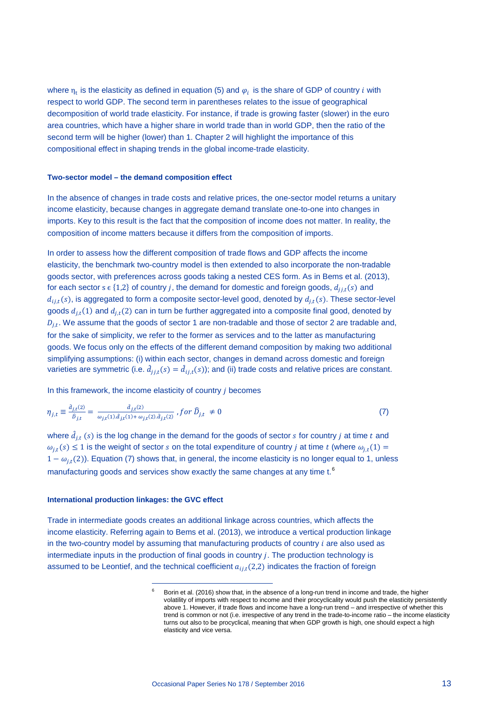where  $\eta_t$  is the elasticity as defined in equation (5) and  $\varphi_i$  is the share of GDP of country *i* with respect to world GDP. The second term in parentheses relates to the issue of geographical decomposition of world trade elasticity. For instance, if trade is growing faster (slower) in the euro area countries, which have a higher share in world trade than in world GDP, then the ratio of the second term will be higher (lower) than 1. Chapter 2 will highlight the importance of this compositional effect in shaping trends in the global income-trade elasticity.

## **Two-sector model – the demand composition effect**

In the absence of changes in trade costs and relative prices, the one-sector model returns a unitary income elasticity, because changes in aggregate demand translate one-to-one into changes in imports. Key to this result is the fact that the composition of income does not matter. In reality, the composition of income matters because it differs from the composition of imports.

In order to assess how the different composition of trade flows and GDP affects the income elasticity, the benchmark two-country model is then extended to also incorporate the non-tradable goods sector, with preferences across goods taking a nested CES form. As in Bems et al. (2013), for each sector  $s \in \{1,2\}$  of country j, the demand for domestic and foreign goods,  $d_{jj,t}(s)$  and  $d_{i,j,t}(s)$ , is aggregated to form a composite sector-level good, denoted by  $d_{j,t}(s)$ . These sector-level goods  $d_{j,t}(1)$  and  $d_{j,t}(2)$  can in turn be further aggregated into a composite final good, denoted by  $D_{j,t}$ . We assume that the goods of sector 1 are non-tradable and those of sector 2 are tradable and, for the sake of simplicity, we refer to the former as services and to the latter as manufacturing goods. We focus only on the effects of the different demand composition by making two additional simplifying assumptions: (i) within each sector, changes in demand across domestic and foreign varieties are symmetric (i.e.  $d_{j j, t}(s) = d_{i j, t}(s)$ ); and (ii) trade costs and relative prices are constant.

In this framework, the income elasticity of country  *becomes* 

$$
\eta_{j,t} \equiv \frac{\hat{a}_{j,t}(2)}{\hat{D}_{j,t}} = \frac{\hat{a}_{j,t}(2)}{\omega_{j,t}(1)\hat{a}_{j,t}(1) + \omega_{j,t}(2)\hat{a}_{j,t}(2)}, for \ \hat{D}_{j,t} \neq 0 \tag{7}
$$

where  $\hat{d}_{i,t}(s)$  is the log change in the demand for the goods of sector s for country j at time t and  $\omega_{i,t}(s) \leq 1$  is the weight of sector s on the total expenditure of country j at time t (where  $\omega_{i,t}(1)$  =  $1 - \omega_{i,t}(2)$ ). Equation (7) shows that, in general, the income elasticity is no longer equal to 1, unless manufacturing goods and services show exactly the same changes at any time t.<sup>[6](#page-13-0)</sup>

## **International production linkages: the GVC effect**

-

<span id="page-13-0"></span>Trade in intermediate goods creates an additional linkage across countries, which affects the income elasticity. Referring again to Bems et al. (2013), we introduce a vertical production linkage in the two-country model by assuming that manufacturing products of country  $i$  are also used as intermediate inputs in the production of final goods in country  $i$ . The production technology is assumed to be Leontief, and the technical coefficient  $a_{i,t}(2,2)$  indicates the fraction of foreign

Borin et al. (2016) show that, in the absence of a long-run trend in income and trade, the higher volatility of imports with respect to income and their procyclicality would push the elasticity persistently above 1. However, if trade flows and income have a long-run trend – and irrespective of whether this trend is common or not (i.e. irrespective of any trend in the trade-to-income ratio – the income elasticity turns out also to be procyclical, meaning that when GDP growth is high, one should expect a high elasticity and vice versa.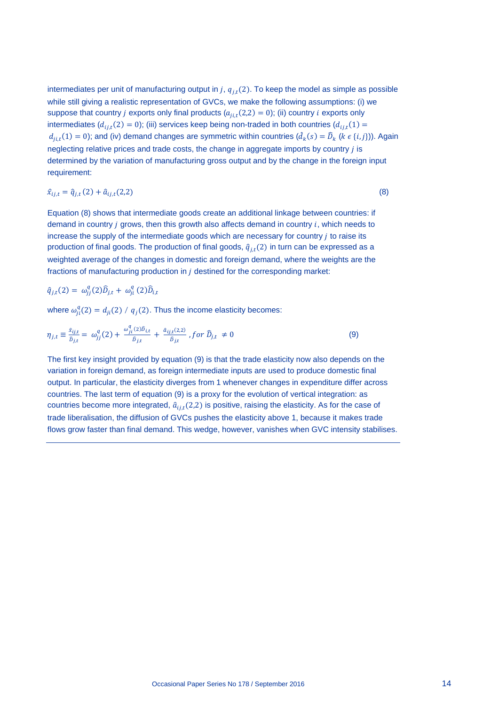intermediates per unit of manufacturing output in  $j$ ,  $q_{i,t}(2)$ . To keep the model as simple as possible while still giving a realistic representation of GVCs, we make the following assumptions: (i) we suppose that country *j* exports only final products  $(a_{i,i,t}(2,2) = 0)$ ; (ii) country *i* exports only intermediates  $(d_{i,i}(2) = 0)$ ; (iii) services keep being non-traded in both countries  $(d_{i,i}(1) =$  $d_{ji,t}(1) = 0$ ); and (iv) demand changes are symmetric within countries ( $d_k(s) = D_k$  ( $k \in \{i, j\})$ ). Again neglecting relative prices and trade costs, the change in aggregate imports by country is determined by the variation of manufacturing gross output and by the change in the foreign input requirement:

 $\hat{x}_{i,i,t} = \hat{q}_{i,t}(2) + \hat{a}_{i,i,t}(2,2)$  (8)

Equation (8) shows that intermediate goods create an additional linkage between countries: if demand in country  $j$  grows, then this growth also affects demand in country  $i$ , which needs to increase the supply of the intermediate goods which are necessary for country  *to raise its* production of final goods. The production of final goods,  $\hat{q}_{j,t}(2)$  in turn can be expressed as a weighted average of the changes in domestic and foreign demand, where the weights are the fractions of manufacturing production in  $i$  destined for the corresponding market:

$$
\hat{q}_{j,t}(2) = \omega_{jj}^q(2)\hat{D}_{j,t} + \omega_{ji}^q(2)\hat{D}_{i,t}
$$

where  $\omega_{ii}^q(2) = d_{ii}(2) / q_i(2)$ . Thus the income elasticity becomes:

$$
\eta_{j,t} \equiv \frac{\hat{x}_{ij,t}}{\hat{D}_{j,t}} = \omega_{jj}^q(2) + \frac{\omega_{ji}^q(2)\hat{D}_{i,t}}{\hat{D}_{j,t}} + \frac{\hat{a}_{ij,t}(2,2)}{\hat{D}_{j,t}}, \text{for } \hat{D}_{j,t} \neq 0 \tag{9}
$$

The first key insight provided by equation (9) is that the trade elasticity now also depends on the variation in foreign demand, as foreign intermediate inputs are used to produce domestic final output. In particular, the elasticity diverges from 1 whenever changes in expenditure differ across countries. The last term of equation (9) is a proxy for the evolution of vertical integration: as countries become more integrated,  $\hat{a}_{i j, t}$ (2,2) is positive, raising the elasticity. As for the case of trade liberalisation, the diffusion of GVCs pushes the elasticity above 1, because it makes trade flows grow faster than final demand. This wedge, however, vanishes when GVC intensity stabilises.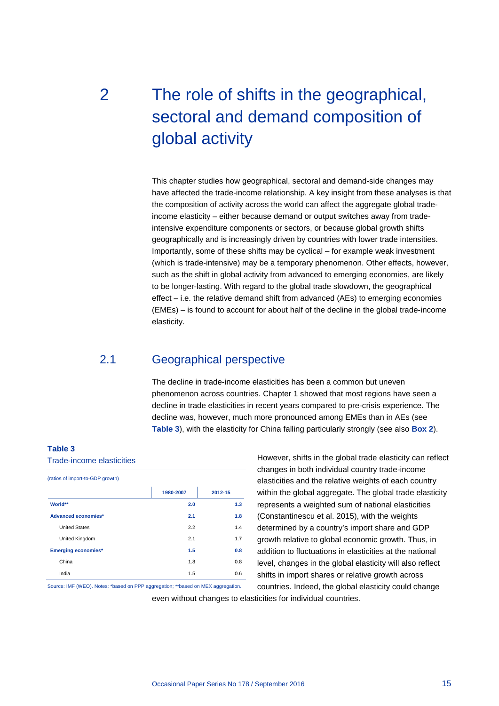# <span id="page-15-0"></span>2 The role of shifts in the geographical, sectoral and demand composition of global activity

This chapter studies how geographical, sectoral and demand-side changes may have affected the trade-income relationship. A key insight from these analyses is that the composition of activity across the world can affect the aggregate global tradeincome elasticity – either because demand or output switches away from tradeintensive expenditure components or sectors, or because global growth shifts geographically and is increasingly driven by countries with lower trade intensities. Importantly, some of these shifts may be cyclical – for example weak investment (which is trade-intensive) may be a temporary phenomenon. Other effects, however, such as the shift in global activity from advanced to emerging economies, are likely to be longer-lasting. With regard to the global trade slowdown, the geographical effect – i.e. the relative demand shift from advanced (AEs) to emerging economies (EMEs) – is found to account for about half of the decline in the global trade-income elasticity.

## <span id="page-15-1"></span>2.1 Geographical perspective

The decline in trade-income elasticities has been a common but uneven phenomenon across countries. Chapter 1 showed that most regions have seen a decline in trade elasticities in recent years compared to pre-crisis experience. The decline was, however, much more pronounced among EMEs than in AEs (see **[Table](#page-15-2) 3**), with the elasticity for China falling particularly strongly (see also **[Box 2](#page-18-0)**).

## <span id="page-15-2"></span>**Table 3**

#### Trade-income elasticities

| (ratios of import-to-GDP growth) |           |         |  |  |
|----------------------------------|-----------|---------|--|--|
|                                  | 1980-2007 | 2012-15 |  |  |
| World**                          | 2.0       | 1.3     |  |  |
| Advanced economies*              | 2.1       | 1.8     |  |  |
| <b>United States</b>             | 2.2       | 1.4     |  |  |
| United Kingdom                   | 2.1       | 1.7     |  |  |
| <b>Emerging economies*</b>       | 1.5       | 0.8     |  |  |
| China                            | 1.8       | 0.8     |  |  |
| India                            | 1.5       | 0.6     |  |  |

Source: IMF (WEO). Notes: \*based on PPP aggregation; \*\*based on MEX aggregation.

However, shifts in the global trade elasticity can reflect changes in both individual country trade-income elasticities and the relative weights of each country within the global aggregate. The global trade elasticity represents a weighted sum of national elasticities (Constantinescu et al. 2015), with the weights determined by a country's import share and GDP growth relative to global economic growth. Thus, in addition to fluctuations in elasticities at the national level, changes in the global elasticity will also reflect shifts in import shares or relative growth across countries. Indeed, the global elasticity could change

even without changes to elasticities for individual countries.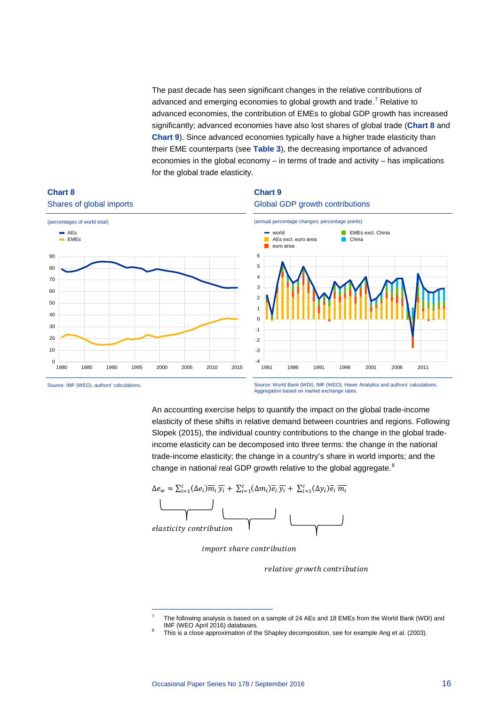<span id="page-16-1"></span>The past decade has seen significant changes in the relative contributions of advanced and emerging economies to global growth and trade.<sup>[7](#page-16-2)</sup> Relative to advanced economies, the contribution of EMEs to global GDP growth has increased significantly; advanced economies have also lost shares of global trade (**[Chart 8](#page-16-0)** and **[Chart 9](#page-16-1)**). Since advanced economies typically have a higher trade elasticity than their EME counterparts (see **[Table 3](#page-15-2)**), the decreasing importance of advanced economies in the global economy – in terms of trade and activity – has implications for the global trade elasticity.



## <span id="page-16-0"></span>**Chart 8**

Source: IMF (WEO), authors' calculations.

Source: World Bank (WDI), IMF (WEO), Haver Analytics and authors' calculations. Aggregation based on market exchange rates.

An accounting exercise helps to quantify the impact on the global trade-income elasticity of these shifts in relative demand between countries and regions. Following Slopek (2015), the individual country contributions to the change in the global tradeincome elasticity can be decomposed into three terms: the change in the national trade-income elasticity; the change in a country's share in world imports; and the change in national real GDP growth relative to the global aggregate.<sup>[8](#page-16-3)</sup>



import share contribution

relative growth contribution

<span id="page-16-2"></span>-

The following analysis is based on a sample of 24 AEs and 18 EMEs from the World Bank (WDI) and IMF (WEO April 2016) databases.

<span id="page-16-3"></span>This is a close approximation of the Shapley decomposition, see for example Ang et al. (2003).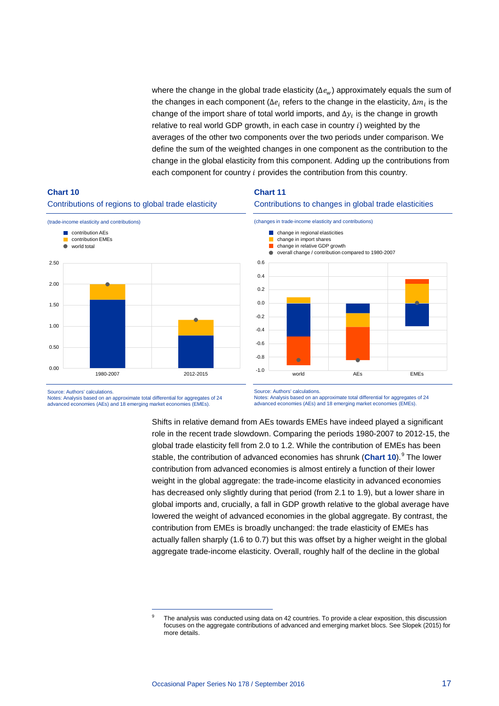where the change in the global trade elasticity ( $\Delta e_w$ ) approximately equals the sum of the changes in each component ( $\Delta e_i$  refers to the change in the elasticity,  $\Delta m_i$  is the change of the import share of total world imports, and  $\Delta y_i$  is the change in growth relative to real world GDP growth, in each case in country  $i$ ) weighted by the averages of the other two components over the two periods under comparison. We define the sum of the weighted changes in one component as the contribution to the change in the global elasticity from this component. Adding up the contributions from each component for country  $i$  provides the contribution from this country.

## <span id="page-17-0"></span>**Chart 10** Contributions of regions to global trade elasticity



## <span id="page-17-2"></span>**Chart 11**



Source: Authors' calculations.

Notes: Analysis based on an approximate total differential for aggregates of 24 advanced economies (AEs) and 18 emerging market economies (EMEs).

<span id="page-17-1"></span>-

Source: Authors' calculations.

Notes: Analysis based on an approximate total differential for aggregates of 24 advanced economies (AEs) and 18 emerging market economies (EMEs).

Shifts in relative demand from AEs towards EMEs have indeed played a significant role in the recent trade slowdown. Comparing the periods 1980-2007 to 2012-15, the global trade elasticity fell from 2.0 to 1.2. While the contribution of EMEs has been stable, the contribution of advanced economies has shrunk ([Chart 10](#page-17-0)).<sup>[9](#page-17-1)</sup> The lower contribution from advanced economies is almost entirely a function of their lower weight in the global aggregate: the trade-income elasticity in advanced economies has decreased only slightly during that period (from 2.1 to 1.9), but a lower share in global imports and, crucially, a fall in GDP growth relative to the global average have lowered the weight of advanced economies in the global aggregate. By contrast, the contribution from EMEs is broadly unchanged: the trade elasticity of EMEs has actually fallen sharply (1.6 to 0.7) but this was offset by a higher weight in the global aggregate trade-income elasticity. Overall, roughly half of the decline in the global

The analysis was conducted using data on 42 countries. To provide a clear exposition, this discussion focuses on the aggregate contributions of advanced and emerging market blocs. See Slopek (2015) for more details.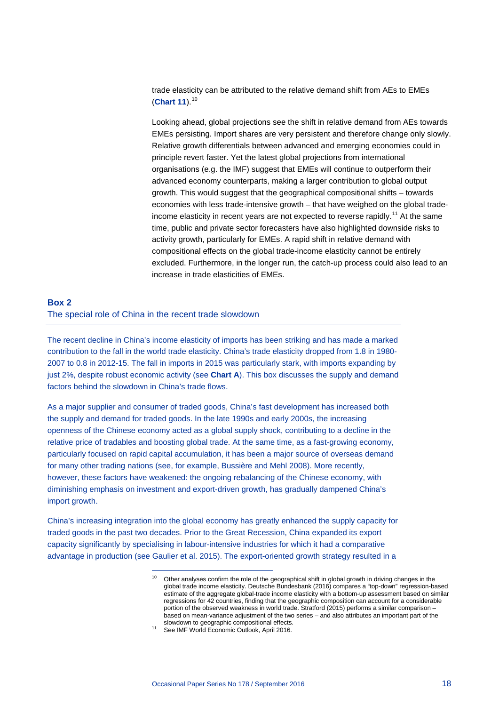trade elasticity can be attributed to the relative demand shift from AEs to EMEs (**[Chart 11](#page-17-2)**).[10](#page-18-1)

Looking ahead, global projections see the shift in relative demand from AEs towards EMEs persisting. Import shares are very persistent and therefore change only slowly. Relative growth differentials between advanced and emerging economies could in principle revert faster. Yet the latest global projections from international organisations (e.g. the IMF) suggest that EMEs will continue to outperform their advanced economy counterparts, making a larger contribution to global output growth. This would suggest that the geographical compositional shifts – towards economies with less trade-intensive growth – that have weighed on the global trade-income elasticity in recent years are not expected to reverse rapidly.<sup>[11](#page-18-2)</sup> At the same time, public and private sector forecasters have also highlighted downside risks to activity growth, particularly for EMEs. A rapid shift in relative demand with compositional effects on the global trade-income elasticity cannot be entirely excluded. Furthermore, in the longer run, the catch-up process could also lead to an increase in trade elasticities of EMEs.

## <span id="page-18-0"></span>**Box 2** The special role of China in the recent trade slowdown

-

The recent decline in China's income elasticity of imports has been striking and has made a marked contribution to the fall in the world trade elasticity. China's trade elasticity dropped from 1.8 in 1980- 2007 to 0.8 in 2012-15. The fall in imports in 2015 was particularly stark, with imports expanding by just 2%, despite robust economic activity (see **[Chart A](#page-19-0)**). This box discusses the supply and demand factors behind the slowdown in China's trade flows.

As a major supplier and consumer of traded goods, China's fast development has increased both the supply and demand for traded goods. In the late 1990s and early 2000s, the increasing openness of the Chinese economy acted as a global supply shock, contributing to a decline in the relative price of tradables and boosting global trade. At the same time, as a fast-growing economy, particularly focused on rapid capital accumulation, it has been a major source of overseas demand for many other trading nations (see, for example, Bussière and Mehl 2008). More recently, however, these factors have weakened: the ongoing rebalancing of the Chinese economy, with diminishing emphasis on investment and export-driven growth, has gradually dampened China's import growth.

<span id="page-18-2"></span><span id="page-18-1"></span>China's increasing integration into the global economy has greatly enhanced the supply capacity for traded goods in the past two decades. Prior to the Great Recession, China expanded its export capacity significantly by specialising in labour-intensive industries for which it had a comparative advantage in production (see Gaulier et al. 2015). The export-oriented growth strategy resulted in a

Other analyses confirm the role of the geographical shift in global growth in driving changes in the global trade income elasticity. Deutsche Bundesbank (2016) compares a "top-down" regression-based estimate of the aggregate global-trade income elasticity with a bottom-up assessment based on similar regressions for 42 countries, finding that the geographic composition can account for a considerable portion of the observed weakness in world trade. Stratford (2015) performs a similar comparison – based on mean-variance adjustment of the two series – and also attributes an important part of the slowdown to geographic compositional effects.

<sup>&</sup>lt;sup>11</sup> See IMF World Economic Outlook, April 2016.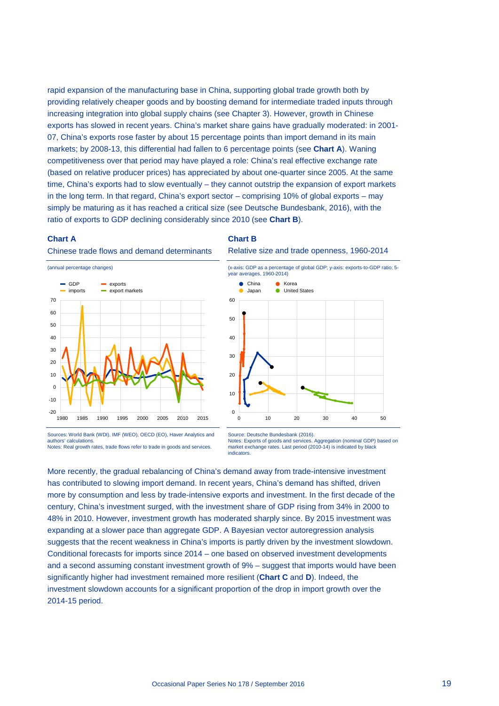rapid expansion of the manufacturing base in China, supporting global trade growth both by providing relatively cheaper goods and by boosting demand for intermediate traded inputs through increasing integration into global supply chains (see Chapter 3). However, growth in Chinese exports has slowed in recent years. China's market share gains have gradually moderated: in 2001- 07, China's exports rose faster by about 15 percentage points than import demand in its main markets; by 2008-13, this differential had fallen to 6 percentage points (see **[Chart A](#page-19-0)**). Waning competitiveness over that period may have played a role: China's real effective exchange rate (based on relative producer prices) has appreciated by about one-quarter since 2005. At the same time, China's exports had to slow eventually – they cannot outstrip the expansion of export markets in the long term. In that regard, China's export sector – comprising 10% of global exports – may simply be maturing as it has reached a critical size (see Deutsche Bundesbank, 2016), with the ratio of exports to GDP declining considerably since 2010 (see **[Chart B](#page-19-1)**).

#### <span id="page-19-0"></span>**Chart A**

#### <span id="page-19-1"></span>**Chart B**





Sources: World Bank (WDI), IMF (WEO), OECD (EO), Haver Analytics and authors' calculations. Notes: Real growth rates, trade flows refer to trade in goods and services.

Relative size and trade openness, 1960-2014



Source: Deutsche Bundesbank (2016). Notes: Exports of goods and services. Aggregation (nominal GDP) based on market exchange rates. Last period (2010-14) is indicated by black **indicators** 

More recently, the gradual rebalancing of China's demand away from trade-intensive investment has contributed to slowing import demand. In recent years, China's demand has shifted, driven more by consumption and less by trade-intensive exports and investment. In the first decade of the century, China's investment surged, with the investment share of GDP rising from 34% in 2000 to 48% in 2010. However, investment growth has moderated sharply since. By 2015 investment was expanding at a slower pace than aggregate GDP. A Bayesian vector autoregression analysis suggests that the recent weakness in China's imports is partly driven by the investment slowdown. Conditional forecasts for imports since 2014 – one based on observed investment developments and a second assuming constant investment growth of 9% – suggest that imports would have been significantly higher had investment remained more resilient (**[Chart C](#page-20-1)** and **[D](#page-20-2)**). Indeed, the investment slowdown accounts for a significant proportion of the drop in import growth over the 2014-15 period.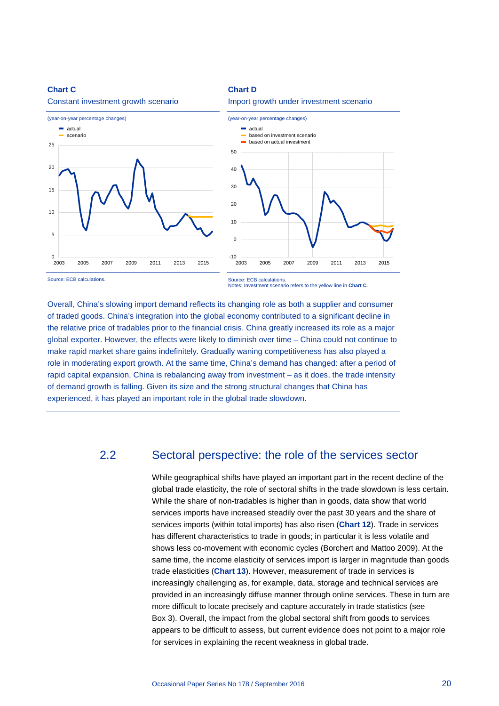#### <span id="page-20-1"></span>**Chart C**



Constant investment growth scenario

## <span id="page-20-2"></span>**Chart D**





Source: ECB calculations.

Source: ECB calculations Notes: Investment scenario refers to the yellow line in **[Chart C](#page-20-1)**.

Overall, China's slowing import demand reflects its changing role as both a supplier and consumer of traded goods. China's integration into the global economy contributed to a significant decline in the relative price of tradables prior to the financial crisis. China greatly increased its role as a major global exporter. However, the effects were likely to diminish over time – China could not continue to make rapid market share gains indefinitely. Gradually waning competitiveness has also played a role in moderating export growth. At the same time, China's demand has changed: after a period of rapid capital expansion, China is rebalancing away from investment – as it does, the trade intensity of demand growth is falling. Given its size and the strong structural changes that China has experienced, it has played an important role in the global trade slowdown.

## <span id="page-20-0"></span>2.2 Sectoral perspective: the role of the services sector

While geographical shifts have played an important part in the recent decline of the global trade elasticity, the role of sectoral shifts in the trade slowdown is less certain. While the share of non-tradables is higher than in goods, data show that world services imports have increased steadily over the past 30 years and the share of services imports (within total imports) has also risen (**[Chart 12](#page-21-1)**). Trade in services has different characteristics to trade in goods; in particular it is less volatile and shows less co-movement with economic cycles (Borchert and Mattoo 2009). At the same time, the income elasticity of services import is larger in magnitude than goods trade elasticities (**[Chart 13](#page-21-2)**). However, measurement of trade in services is increasingly challenging as, for example, data, storage and technical services are provided in an increasingly diffuse manner through online services. These in turn are more difficult to locate precisely and capture accurately in trade statistics (see Box 3). Overall, the impact from the global sectoral shift from goods to services appears to be difficult to assess, but current evidence does not point to a major role for services in explaining the recent weakness in global trade.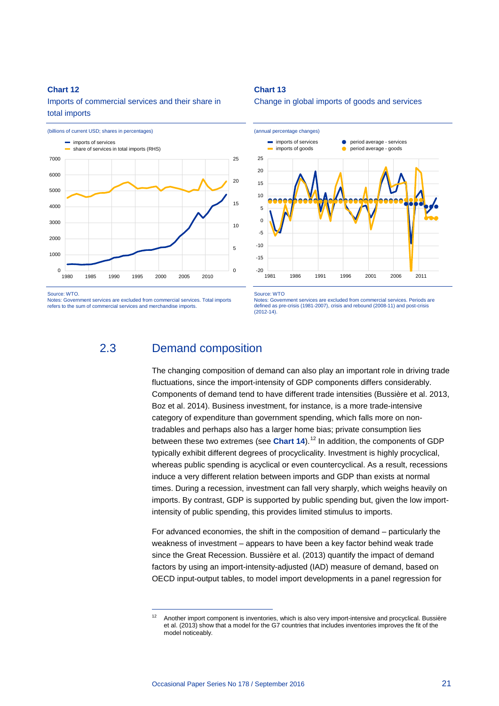## <span id="page-21-1"></span>**Chart 12**

Imports of commercial services and their share in total imports



Source: WTO.

<span id="page-21-0"></span>Notes: Government services are excluded from commercial services. Total imports refers to the sum of commercial services and merchandise imports.

-

#### <span id="page-21-2"></span>**Chart 13**

Change in global imports of goods and services



Source: WTO

Notes: Government services are excluded from commercial services. Periods are defined as pre-crisis (1981-2007), crisis and rebound (2008-11) and post-crisis  $(2012 - 14)$ 

## 2.3 Demand composition

The changing composition of demand can also play an important role in driving trade fluctuations, since the import-intensity of GDP components differs considerably. Components of demand tend to have different trade intensities (Bussière et al. 2013, Boz et al. 2014). Business investment, for instance, is a more trade-intensive category of expenditure than government spending, which falls more on nontradables and perhaps also has a larger home bias; private consumption lies between these two extremes (see **[Chart 14](#page-22-0)**).<sup>[12](#page-21-3)</sup> In addition, the components of GDP typically exhibit different degrees of procyclicality. Investment is highly procyclical, whereas public spending is acyclical or even countercyclical. As a result, recessions induce a very different relation between imports and GDP than exists at normal times. During a recession, investment can fall very sharply, which weighs heavily on imports. By contrast, GDP is supported by public spending but, given the low importintensity of public spending, this provides limited stimulus to imports.

For advanced economies, the shift in the composition of demand – particularly the weakness of investment – appears to have been a key factor behind weak trade since the Great Recession. Bussière et al. (2013) quantify the impact of demand factors by using an import-intensity-adjusted (IAD) measure of demand, based on OECD input-output tables, to model import developments in a panel regression for

<span id="page-21-3"></span><sup>&</sup>lt;sup>12</sup> Another import component is inventories, which is also very import-intensive and procyclical. Bussière et al. (2013) show that a model for the G7 countries that includes inventories improves the fit of the model noticeably.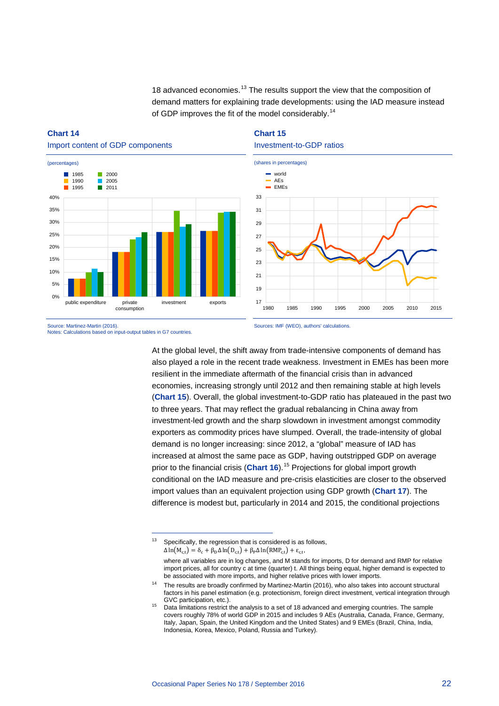18 advanced economies.<sup>[13](#page-22-2)</sup> The results support the view that the composition of demand matters for explaining trade developments: using the IAD measure instead of GDP improves the fit of the model considerably.<sup>[14](#page-22-3)</sup>

## <span id="page-22-0"></span>**Chart 14**



-

## <span id="page-22-1"></span>**Chart 15** Investment-to-GDP ratios



Source: Martinez-Martin (2016). Notes: Calculations based on input-output tables in G7 countries. Sources: IMF (WEO), authors' calculations.

At the global level, the shift away from trade-intensive components of demand has also played a role in the recent trade weakness. Investment in EMEs has been more resilient in the immediate aftermath of the financial crisis than in advanced economies, increasing strongly until 2012 and then remaining stable at high levels (**[Chart 15](#page-22-1)**). Overall, the global investment-to-GDP ratio has plateaued in the past two to three years. That may reflect the gradual rebalancing in China away from investment-led growth and the sharp slowdown in investment amongst commodity exporters as commodity prices have slumped. Overall, the trade-intensity of global demand is no longer increasing: since 2012, a "global" measure of IAD has increased at almost the same pace as GDP, having outstripped GDP on average prior to the financial crisis (**[Chart 16](#page-23-1)**).[15](#page-22-4) Projections for global import growth conditional on the IAD measure and pre-crisis elasticities are closer to the observed import values than an equivalent projection using GDP growth (**[Chart 17](#page-23-2)**). The difference is modest but, particularly in 2014 and 2015, the conditional projections

<span id="page-22-2"></span> $13$  Specifically, the regression that is considered is as follows,  $\Delta \ln(M_{c,t}) = \delta_c + \beta_D \Delta \ln(D_{c,t}) + \beta_P \Delta \ln(RMP_{c,t}) + \epsilon_{c,t},$ where all variables are in log changes, and M stands for imports, D for demand and RMP for relative import prices, all for country c at time (quarter) t. All things being equal, higher demand is expected to be associated with more imports, and higher relative prices with lower imports.

<span id="page-22-3"></span><sup>&</sup>lt;sup>14</sup> The results are broadly confirmed by Martinez-Martin (2016), who also takes into account structural factors in his panel estimation (e.g. protectionism, foreign direct investment, vertical integration through GVC participation, etc.).

<span id="page-22-4"></span><sup>&</sup>lt;sup>15</sup> Data limitations restrict the analysis to a set of 18 advanced and emerging countries. The sample covers roughly 78% of world GDP in 2015 and includes 9 AEs (Australia, Canada, France, Germany, Italy, Japan, Spain, the United Kingdom and the United States) and 9 EMEs (Brazil, China, India, Indonesia, Korea, Mexico, Poland, Russia and Turkey).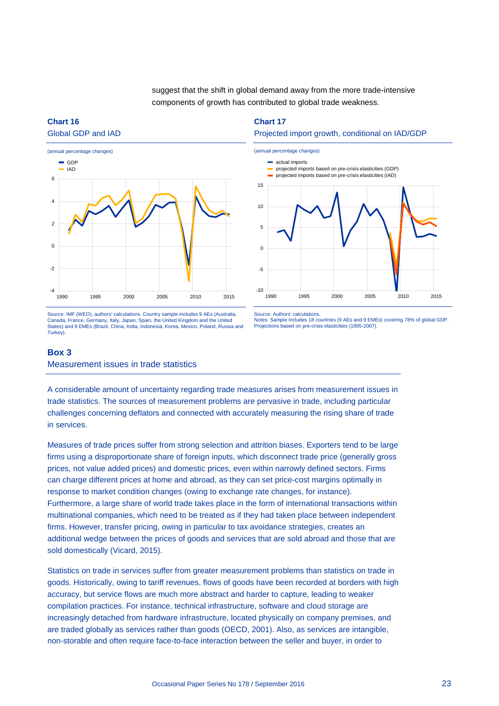suggest that the shift in global demand away from the more trade-intensive components of growth has contributed to global trade weakness.

## <span id="page-23-1"></span>**Chart 16** Global GDP and IAD



Source: IMF (WEO), authors' calculations. Country sample includes 9 AEs (Australia, Canada, France, Germany, Italy, Japan, Spain, the United Kingdom and the United States) and 9 EMEs (Brazil, China, India, Indonesia, Korea, Mexico, Poland, Russia and Turkey).

<span id="page-23-2"></span>**Chart 17**

#### Projected import growth, conditional on IAD/GDP



Source: Authors' calculations.

Notes: Sample includes 18 countries (9 AEs and 9 EMEs) covering 78% of global GDP. Projections based on pre-crisis elasticities (1995-2007).

## <span id="page-23-0"></span>**Box 3**

Measurement issues in trade statistics

A considerable amount of uncertainty regarding trade measures arises from measurement issues in trade statistics. The sources of measurement problems are pervasive in trade, including particular challenges concerning deflators and connected with accurately measuring the rising share of trade in services.

Measures of trade prices suffer from strong selection and attrition biases. Exporters tend to be large firms using a disproportionate share of foreign inputs, which disconnect trade price (generally gross prices, not value added prices) and domestic prices, even within narrowly defined sectors. Firms can charge different prices at home and abroad, as they can set price-cost margins optimally in response to market condition changes (owing to exchange rate changes, for instance). Furthermore, a large share of world trade takes place in the form of international transactions within multinational companies, which need to be treated as if they had taken place between independent firms. However, transfer pricing, owing in particular to tax avoidance strategies, creates an additional wedge between the prices of goods and services that are sold abroad and those that are sold domestically (Vicard, 2015).

Statistics on trade in services suffer from greater measurement problems than statistics on trade in goods. Historically, owing to tariff revenues, flows of goods have been recorded at borders with high accuracy, but service flows are much more abstract and harder to capture, leading to weaker compilation practices. For instance, technical infrastructure, software and cloud storage are increasingly detached from hardware infrastructure, located physically on company premises, and are traded globally as services rather than goods (OECD, 2001). Also, as services are intangible, non-storable and often require face-to-face interaction between the seller and buyer, in order to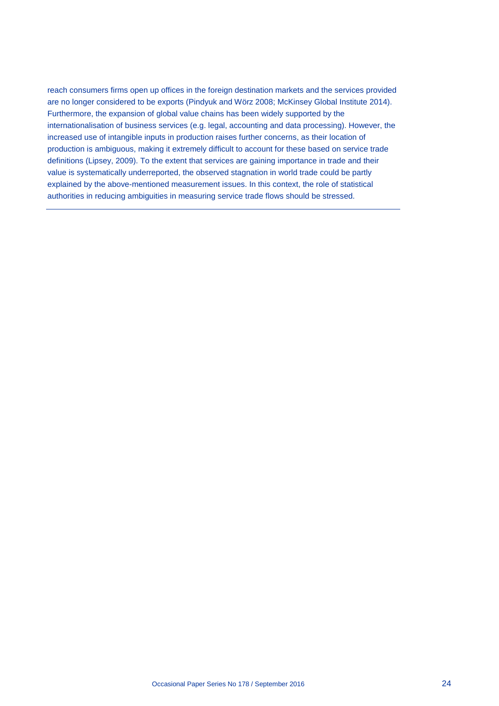reach consumers firms open up offices in the foreign destination markets and the services provided are no longer considered to be exports (Pindyuk and Wörz 2008; McKinsey Global Institute 2014). Furthermore, the expansion of global value chains has been widely supported by the internationalisation of business services (e.g. legal, accounting and data processing). However, the increased use of intangible inputs in production raises further concerns, as their location of production is ambiguous, making it extremely difficult to account for these based on service trade definitions (Lipsey, 2009). To the extent that services are gaining importance in trade and their value is systematically underreported, the observed stagnation in world trade could be partly explained by the above-mentioned measurement issues. In this context, the role of statistical authorities in reducing ambiguities in measuring service trade flows should be stressed.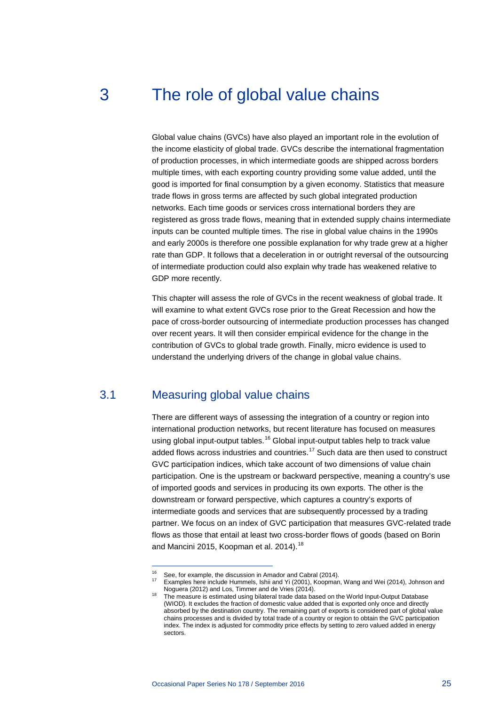# <span id="page-25-0"></span>3 The role of global value chains

Global value chains (GVCs) have also played an important role in the evolution of the income elasticity of global trade. GVCs describe the international fragmentation of production processes, in which intermediate goods are shipped across borders multiple times, with each exporting country providing some value added, until the good is imported for final consumption by a given economy. Statistics that measure trade flows in gross terms are affected by such global integrated production networks. Each time goods or services cross international borders they are registered as gross trade flows, meaning that in extended supply chains intermediate inputs can be counted multiple times. The rise in global value chains in the 1990s and early 2000s is therefore one possible explanation for why trade grew at a higher rate than GDP. It follows that a deceleration in or outright reversal of the outsourcing of intermediate production could also explain why trade has weakened relative to GDP more recently.

This chapter will assess the role of GVCs in the recent weakness of global trade. It will examine to what extent GVCs rose prior to the Great Recession and how the pace of cross-border outsourcing of intermediate production processes has changed over recent years. It will then consider empirical evidence for the change in the contribution of GVCs to global trade growth. Finally, micro evidence is used to understand the underlying drivers of the change in global value chains.

## <span id="page-25-1"></span>3.1 Measuring global value chains

-

There are different ways of assessing the integration of a country or region into international production networks, but recent literature has focused on measures using global input-output tables.<sup>[16](#page-25-2)</sup> Global input-output tables help to track value added flows across industries and countries.<sup>[17](#page-25-3)</sup> Such data are then used to construct GVC participation indices, which take account of two dimensions of value chain participation. One is the upstream or backward perspective, meaning a country's use of imported goods and services in producing its own exports. The other is the downstream or forward perspective, which captures a country's exports of intermediate goods and services that are subsequently processed by a trading partner. We focus on an index of GVC participation that measures GVC-related trade flows as those that entail at least two cross-border flows of goods (based on Borin and Mancini 2015, Koopman et al. 2014).<sup>[18](#page-25-4)</sup>

<span id="page-25-4"></span><span id="page-25-3"></span><span id="page-25-2"></span><sup>&</sup>lt;sup>16</sup> See, for example, the discussion in Amador and Cabral (2014).<br><sup>17</sup> Examples here include Hummels, Ishii and Yi (2001), Koopman, Wang and Wei (2014), Johnson and<br>Noguera (2012) and Los, Timmer and de Vries (2014).

The measure is estimated using bilateral trade data based on the World Input-Output Database (WIOD). It excludes the fraction of domestic value added that is exported only once and directly absorbed by the destination country. The remaining part of exports is considered part of global value chains processes and is divided by total trade of a country or region to obtain the GVC participation index. The index is adjusted for commodity price effects by setting to zero valued added in energy sectors.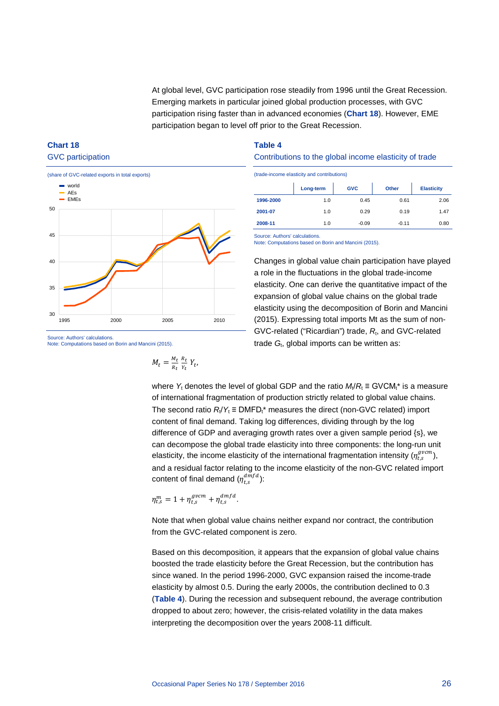At global level, GVC participation rose steadily from 1996 until the Great Recession. Emerging markets in particular joined global production processes, with GVC participation rising faster than in advanced economies (**[Chart 18](#page-26-0)**). However, EME participation began to level off prior to the Great Recession.

## <span id="page-26-0"></span>**Chart 18** GVC participation



Source: Authors' calculations. Note: Computations based on Borin and Mancini (2015).

$$
M_t = \frac{M_t}{R_t} \frac{R_t}{Y_t} Y_t,
$$

## <span id="page-26-1"></span>**Table 4**

## Contributions to the global income elasticity of trade

(trade-income elasticity and contributions)

|           | Long-term | <b>GVC</b> | Other   | <b>Elasticity</b> |
|-----------|-----------|------------|---------|-------------------|
| 1996-2000 | 1.0       | 0.45       | 0.61    | 2.06              |
| 2001-07   | 1.0       | 0.29       | 0.19    | 1.47              |
| 2008-11   | 1.0       | $-0.09$    | $-0.11$ | 0.80              |

Source: Authors' calculations.

Note: Computations based on Borin and Mancini (2015).

Changes in global value chain participation have played a role in the fluctuations in the global trade-income elasticity. One can derive the quantitative impact of the expansion of global value chains on the global trade elasticity using the decomposition of Borin and Mancini (2015). Expressing total imports Mt as the sum of non-GVC-related ("Ricardian") trade, R<sub>t</sub>, and GVC-related trade *G*<sub>t</sub>, global imports can be written as:

where  $Y_t$  denotes the level of global GDP and the ratio  $M_t/R_t \equiv \text{GVCM}_t^*$  is a measure of international fragmentation of production strictly related to global value chains. The second ratio  $R_t/Y_t \equiv DMFD_t^*$  measures the direct (non-GVC related) import content of final demand. Taking log differences, dividing through by the log difference of GDP and averaging growth rates over a given sample period {s}, we can decompose the global trade elasticity into three components: the long-run unit elasticity, the income elasticity of the international fragmentation intensity  $(\eta_{t,s}^{gvcm})$ , and a residual factor relating to the income elasticity of the non-GVC related import content of final demand  $(\eta_{t,s}^{amfd})$ :

$$
\eta_{t,s}^m = 1 + \eta_{t,s}^{gvcm} + \eta_{t,s}^{dmfd}.
$$

Note that when global value chains neither expand nor contract, the contribution from the GVC-related component is zero.

Based on this decomposition, it appears that the expansion of global value chains boosted the trade elasticity before the Great Recession, but the contribution has since waned. In the period 1996-2000, GVC expansion raised the income-trade elasticity by almost 0.5. During the early 2000s, the contribution declined to 0.3 (**[Table 4](#page-26-1)**). During the recession and subsequent rebound, the average contribution dropped to about zero; however, the crisis-related volatility in the data makes interpreting the decomposition over the years 2008-11 difficult.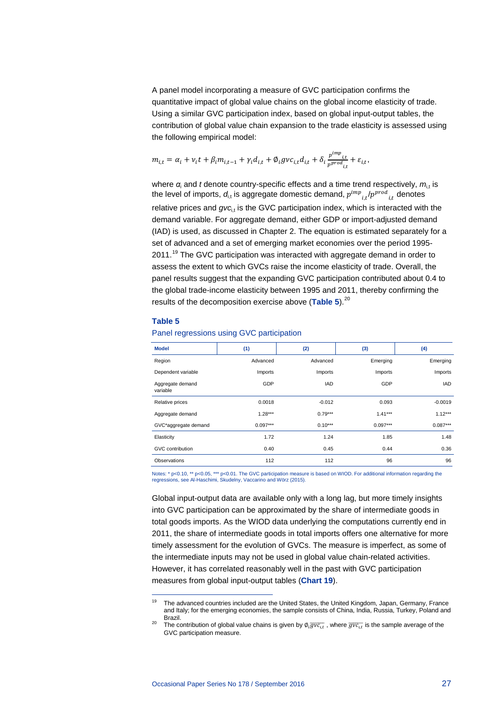A panel model incorporating a measure of GVC participation confirms the quantitative impact of global value chains on the global income elasticity of trade. Using a similar GVC participation index, based on global input-output tables, the contribution of global value chain expansion to the trade elasticity is assessed using the following empirical model:

$$
m_{i,t} = \alpha_i + v_i t + \beta_i m_{i,t-1} + \gamma_i d_{i,t} + \emptyset_i g v c_{i,t} d_{i,t} + \delta_i \frac{p^{imp}_{i,t}}{p^{prod}_{i,t}} + \varepsilon_{i,t},
$$

where  $\alpha_i$  and *t* denote country-specific effects and a time trend respectively,  $m_{i,t}$  is the level of imports,  $d_{\text{i,t}}$  is aggregate domestic demand,  $p^{imp}_{i,t}/p^{proa}_{i,t}$  denotes relative prices and  $gvc_{i,t}$  is the GVC participation index, which is interacted with the demand variable. For aggregate demand, either GDP or import-adjusted demand (IAD) is used, as discussed in Chapter 2. The equation is estimated separately for a set of advanced and a set of emerging market economies over the period 1995- 2011.<sup>[19](#page-27-1)</sup> The GVC participation was interacted with aggregate demand in order to assess the extent to which GVCs raise the income elasticity of trade. Overall, the panel results suggest that the expanding GVC participation contributed about 0.4 to the global trade-income elasticity between 1995 and 2011, thereby confirming the results of the decomposition exercise above ([Table 5](#page-27-0)).<sup>[20](#page-27-2)</sup>

#### <span id="page-27-0"></span>**Table 5**

| <b>Model</b>                 | (1)        | (2)        | (3)        | (4)        |
|------------------------------|------------|------------|------------|------------|
| Region                       | Advanced   | Advanced   | Emerging   | Emerging   |
| Dependent variable           | Imports    | Imports    | Imports    | Imports    |
| Aggregate demand<br>variable | GDP        | <b>IAD</b> | GDP        | <b>IAD</b> |
| Relative prices              | 0.0018     | $-0.012$   | 0.093      | $-0.0019$  |
| Aggregate demand             | $1.28***$  | $0.79***$  | $1.41***$  | $1.12***$  |
| GVC*aggregate demand         | $0.097***$ | $0.10***$  | $0.097***$ | $0.087***$ |
| Elasticity                   | 1.72       | 1.24       | 1.85       | 1.48       |
| GVC contribution             | 0.40       | 0.45       | 0.44       | 0.36       |
| Observations                 | 112        | 112        | 96         | 96         |
|                              |            |            |            |            |

Panel regressions using GVC participation

Notes: \* p<0.10, \*\* p<0.05, \*\*\* p<0.01. The GVC participation measure is based on WIOD. For additional information regarding the regressions, see Al-Haschimi, Skudelny, Vaccarino and Wörz (2015).

Global input-output data are available only with a long lag, but more timely insights into GVC participation can be approximated by the share of intermediate goods in total goods imports. As the WIOD data underlying the computations currently end in 2011, the share of intermediate goods in total imports offers one alternative for more timely assessment for the evolution of GVCs. The measure is imperfect, as some of the intermediate inputs may not be used in global value chain-related activities. However, it has correlated reasonably well in the past with GVC participation measures from global input-output tables (**[Chart 19](#page-28-1)**).

<sup>19</sup> <sup>19</sup> The advanced countries included are the United States, the United Kingdom, Japan, Germany, France and Italy; for the emerging economies, the sample consists of China, India, Russia, Turkey, Poland and

<span id="page-27-2"></span><span id="page-27-1"></span><sup>20</sup> Brazil.<br><sup>20</sup> The contribution of global value chains is given by Ø<sub>≀</sub> $\overline{gvc_{\iota,t}}$  , where  $\overline{gvc_{\iota,t}}$  is the sample average of the GVC participation measure.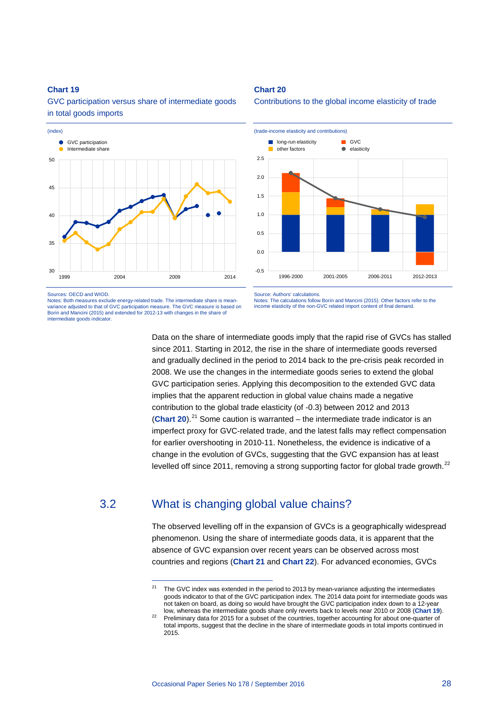## <span id="page-28-1"></span>**Chart 19**

GVC participation versus share of intermediate goods in total goods imports



Sources: OECD and WIOD.

Notes: Both measures exclude energy-related trade. The intermediate share is meanvariance adjusted to that of GVC participation measure. The GVC measure is based on Borin and Mancini (2015) and extended for 2012-13 with changes in the share of intermediate goods indicator.

-

<span id="page-28-2"></span>**Chart 20**

Contributions to the global income elasticity of trade



Source: Authors' calculations. Notes: The calculations follow Borin and Mancini (2015). Other factors refer to the income elasticity of the non-GVC related import content of final demand.

Data on the share of intermediate goods imply that the rapid rise of GVCs has stalled since 2011. Starting in 2012, the rise in the share of intermediate goods reversed and gradually declined in the period to 2014 back to the pre-crisis peak recorded in 2008. We use the changes in the intermediate goods series to extend the global GVC participation series. Applying this decomposition to the extended GVC data implies that the apparent reduction in global value chains made a negative contribution to the global trade elasticity (of -0.3) between 2012 and 2013 (**[Chart](#page-28-2) 20**).[21](#page-28-3) Some caution is warranted – the intermediate trade indicator is an imperfect proxy for GVC-related trade, and the latest falls may reflect compensation for earlier overshooting in 2010-11. Nonetheless, the evidence is indicative of a change in the evolution of GVCs, suggesting that the GVC expansion has at least levelled off since 2011, removing a strong supporting factor for global trade growth.<sup>[22](#page-28-4)</sup>

## <span id="page-28-3"></span><span id="page-28-0"></span>3.2 What is changing global value chains?

The observed levelling off in the expansion of GVCs is a geographically widespread phenomenon. Using the share of intermediate goods data, it is apparent that the absence of GVC expansion over recent years can be observed across most countries and regions (**[Chart 21](#page-29-0)** and **[Chart 22](#page-29-1)**). For advanced economies, GVCs

<sup>&</sup>lt;sup>21</sup> The GVC index was extended in the period to 2013 by mean-variance adjusting the intermediates goods indicator to that of the GVC participation index. The 2014 data point for intermediate goods was not taken on board, as doing so would have brought the GVC participation index down to a 12-year<br>low, whereas the intermediate goods share only reverts back to levels near 2010 or 2008 (Chart 19).

<span id="page-28-4"></span>Preliminary data for 2015 for a subset of the countries, together accounting for about one-quarter of total imports, suggest that the decline in the share of intermediate goods in total imports continued in 2015.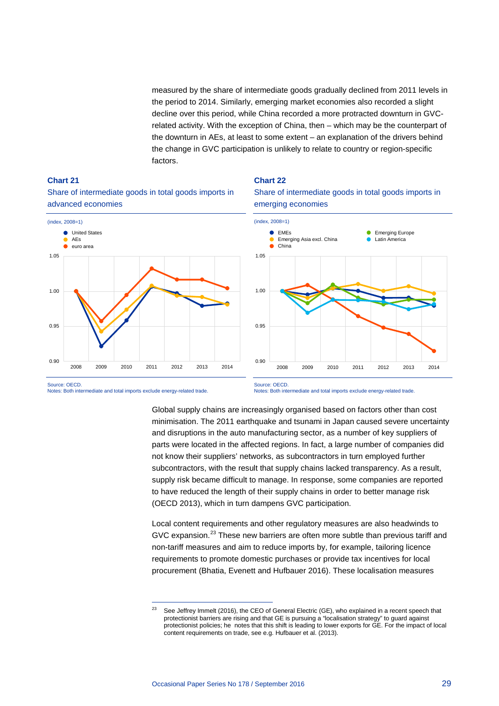measured by the share of intermediate goods gradually declined from 2011 levels in the period to 2014. Similarly, emerging market economies also recorded a slight decline over this period, while China recorded a more protracted downturn in GVCrelated activity. With the exception of China, then – which may be the counterpart of the downturn in AEs, at least to some extent – an explanation of the drivers behind the change in GVC participation is unlikely to relate to country or region-specific factors.

<span id="page-29-0"></span>



# advanced economies

<span id="page-29-1"></span>





-

Notes: Both intermediate and total imports exclude energy-related trade.

Global supply chains are increasingly organised based on factors other than cost minimisation. The 2011 earthquake and tsunami in Japan caused severe uncertainty and disruptions in the auto manufacturing sector, as a number of key suppliers of parts were located in the affected regions. In fact, a large number of companies did not know their suppliers' networks, as subcontractors in turn employed further subcontractors, with the result that supply chains lacked transparency. As a result, supply risk became difficult to manage. In response, some companies are reported to have reduced the length of their supply chains in order to better manage risk (OECD 2013), which in turn dampens GVC participation.

Local content requirements and other regulatory measures are also headwinds to GVC expansion.<sup>[23](#page-29-2)</sup> These new barriers are often more subtle than previous tariff and non-tariff measures and aim to reduce imports by, for example, tailoring licence requirements to promote domestic purchases or provide tax incentives for local procurement (Bhatia, Evenett and Hufbauer 2016). These localisation measures

Notes: Both intermediate and total imports exclude energy-related trade.

<span id="page-29-2"></span><sup>&</sup>lt;sup>23</sup> See Jeffrey Immelt (2016), the CEO of General Electric (GE), who explained in a recent speech that protectionist barriers are rising and that GE is pursuing a "localisation strategy" to guard against protectionist policies; he notes that this shift is leading to lower exports for GE. For the impact of local content requirements on trade, see e.g. Hufbauer et al. (2013).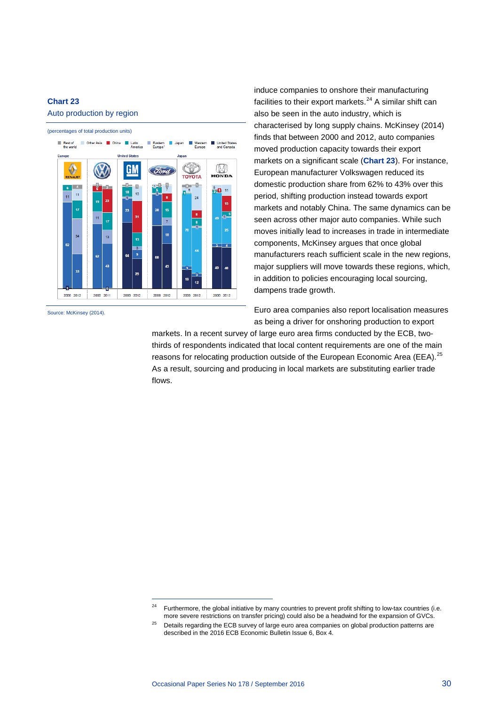## <span id="page-30-0"></span>**Chart 23**

#### Auto production by region



-

Source: McKinsey (2014).

induce companies to onshore their manufacturing facilities to their export markets. $24$  A similar shift can also be seen in the auto industry, which is characterised by long supply chains. McKinsey (2014) finds that between 2000 and 2012, auto companies moved production capacity towards their export markets on a significant scale (**[Chart](#page-30-0) 23**). For instance, European manufacturer Volkswagen reduced its domestic production share from 62% to 43% over this period, shifting production instead towards export markets and notably China. The same dynamics can be seen across other major auto companies. While such moves initially lead to increases in trade in intermediate components, McKinsey argues that once global manufacturers reach sufficient scale in the new regions, major suppliers will move towards these regions, which, in addition to policies encouraging local sourcing, dampens trade growth.

Euro area companies also report localisation measures as being a driver for onshoring production to export

markets. In a recent survey of large euro area firms conducted by the ECB, twothirds of respondents indicated that local content requirements are one of the main reasons for relocating production outside of the European Economic Area (EEA).<sup>[25](#page-30-2)</sup> As a result, sourcing and producing in local markets are substituting earlier trade flows.

<sup>&</sup>lt;sup>24</sup> Furthermore, the global initiative by many countries to prevent profit shifting to low-tax countries (i.e. more severe restrictions on transfer pricing) could also be a headwind for the expansion of GVCs.

<span id="page-30-2"></span><span id="page-30-1"></span><sup>&</sup>lt;sup>25</sup> Details regarding the ECB survey of large euro area companies on global production patterns are described in the 2016 ECB Economic Bulletin Issue 6, Box 4.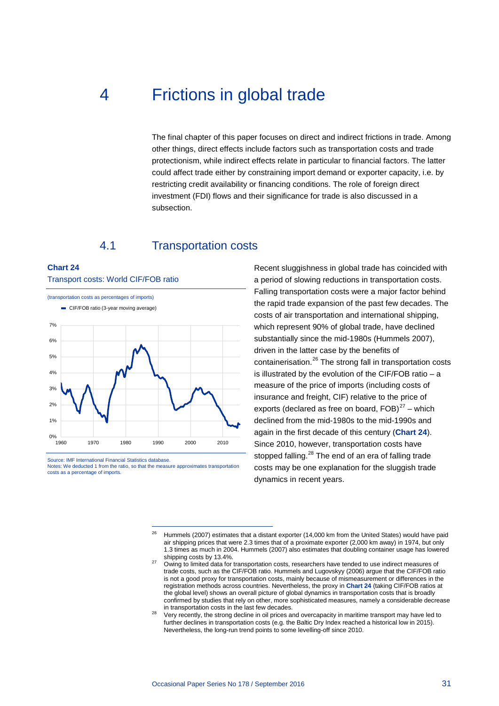# <span id="page-31-0"></span>4 Frictions in global trade

The final chapter of this paper focuses on direct and indirect frictions in trade. Among other things, direct effects include factors such as transportation costs and trade protectionism, while indirect effects relate in particular to financial factors. The latter could affect trade either by constraining import demand or exporter capacity, i.e. by restricting credit availability or financing conditions. The role of foreign direct investment (FDI) flows and their significance for trade is also discussed in a subsection.

## 4.1 Transportation costs

#### <span id="page-31-2"></span><span id="page-31-1"></span>**Chart 24**

(transportation costs as percentages of imports)  $0\%$   $-$ <br>1960 1% 2% 3% 4% 5% 6% 7% 1960 1970 1980 1990 2000 2010 CIF/FOB ratio (3-year moving average)

Transport costs: World CIF/FOB ratio

<span id="page-31-4"></span><span id="page-31-3"></span>Source: IMF International Financial Statistics database. Notes: We deducted 1 from the ratio, so that the measure approximates transportation costs as a percentage of imports.

-

Recent sluggishness in global trade has coincided with a period of slowing reductions in transportation costs. Falling transportation costs were a major factor behind the rapid trade expansion of the past few decades. The costs of air transportation and international shipping, which represent 90% of global trade, have declined substantially since the mid-1980s (Hummels 2007), driven in the latter case by the benefits of containerisation.[26](#page-31-3) The strong fall in transportation costs is illustrated by the evolution of the CIF/FOB ratio – a measure of the price of imports (including costs of insurance and freight, CIF) relative to the price of exports (declared as free on board,  $FOB$ )<sup>[27](#page-31-4)</sup> – which declined from the mid-1980s to the mid-1990s and again in the first decade of this century (**[Chart 24](#page-31-2)**). Since 2010, however, transportation costs have stopped falling.<sup>[28](#page-31-5)</sup> The end of an era of falling trade costs may be one explanation for the sluggish trade dynamics in recent years.

<sup>&</sup>lt;sup>26</sup> Hummels (2007) estimates that a distant exporter (14,000 km from the United States) would have paid air shipping prices that were 2.3 times that of a proximate exporter (2,000 km away) in 1974, but only 1.3 times as much in 2004. Hummels (2007) also estimates that doubling container usage has lowered

<sup>&</sup>lt;sup>27</sup> Owing to limited data for transportation costs, researchers have tended to use indirect measures of trade costs, such as the CIF/FOB ratio. Hummels and Lugovskyy (2006) argue that the CIF/FOB ratio is not a good proxy for transportation costs, mainly because of mismeasurement or differences in the registration methods across countries. Nevertheless, the proxy in **[Chart 24](#page-31-2)** (taking CIF/FOB ratios at the global level) shows an overall picture of global dynamics in transportation costs that is broadly confirmed by studies that rely on other, more sophisticated measures, namely a considerable decrease<br>in transportation costs in the last few decades.

<span id="page-31-5"></span>Very recently, the strong decline in oil prices and overcapacity in maritime transport may have led to further declines in transportation costs (e.g. the Baltic Dry Index reached a historical low in 2015). Nevertheless, the long-run trend points to some levelling-off since 2010.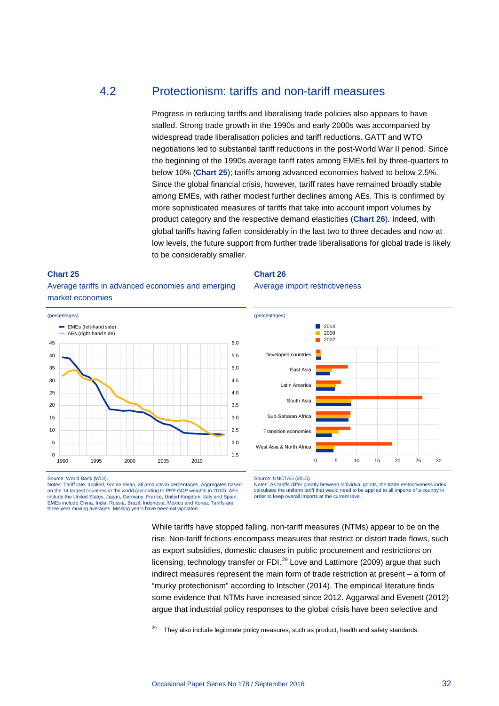## <span id="page-32-0"></span>4.2 Protectionism: tariffs and non-tariff measures

Progress in reducing tariffs and liberalising trade policies also appears to have stalled. Strong trade growth in the 1990s and early 2000s was accompanied by widespread trade liberalisation policies and tariff reductions. GATT and WTO negotiations led to substantial tariff reductions in the post-World War II period. Since the beginning of the 1990s average tariff rates among EMEs fell by three-quarters to below 10% (**[Chart 25](#page-32-1)**); tariffs among advanced economies halved to below 2.5%. Since the global financial crisis, however, tariff rates have remained broadly stable among EMEs, with rather modest further declines among AEs. This is confirmed by more sophisticated measures of tariffs that take into account import volumes by product category and the respective demand elasticities (**[Chart 26](#page-32-2)**). Indeed, with global tariffs having fallen considerably in the last two to three decades and now at low levels, the future support from further trade liberalisations for global trade is likely to be considerably smaller.

#### <span id="page-32-1"></span>**Chart 25**

Average tariffs in advanced economies and emerging market economies



Source: World Bank (WDI).

<span id="page-32-3"></span>Notes: Tariff rate, applied, simple mean, all products in percentages. Aggregates based on the 14 largest countries in the world (according to PPP GDP weights in 2010). AEs include the United States, Japan, Germany, France, United Kingdom, Italy and Spain. EMEs include China, India, Russia, Brazil, Indonesia, Mexico and Korea. Tariffs are three-year moving averages. Missing years have been extrapolated.

-

<span id="page-32-2"></span>**Chart 26**

Average import restrictiveness



Source: UNCTAD (2015).

Notes: As tariffs differ greatly between individual goods, the trade restrictiveness index calculates the uniform tariff that would need to be applied to all imports of a country in order to keep overall imports at the current level.

While tariffs have stopped falling, non-tariff measures (NTMs) appear to be on the rise. Non-tariff frictions encompass measures that restrict or distort trade flows, such as export subsidies, domestic clauses in public procurement and restrictions on licensing, technology transfer or FDI.<sup>[29](#page-32-3)</sup> Love and Lattimore (2009) argue that such indirect measures represent the main form of trade restriction at present – a form of "murky protectionism" according to Intscher (2014). The empirical literature finds some evidence that NTMs have increased since 2012. Aggarwal and Evenett (2012) argue that industrial policy responses to the global crisis have been selective and

They also include legitimate policy measures, such as product, health and safety standards.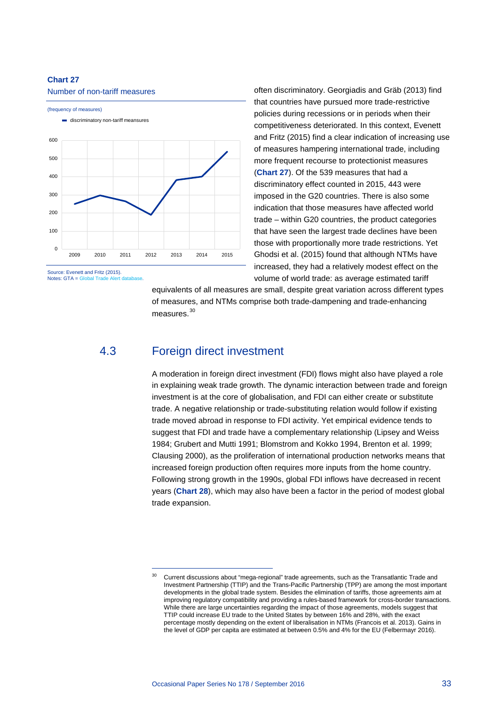#### <span id="page-33-1"></span>**Chart 27**

#### Number of non-tariff measures



Source: Evenett and Fritz (2015). Notes:  $GTA = Global Tra$ 

often discriminatory. Georgiadis and Gräb (2013) find that countries have pursued more trade-restrictive policies during recessions or in periods when their competitiveness deteriorated. In this context, Evenett and Fritz (2015) find a clear indication of increasing use of measures hampering international trade, including more frequent recourse to protectionist measures (**[Chart 27](#page-33-1)**). Of the 539 measures that had a discriminatory effect counted in 2015, 443 were imposed in the G20 countries. There is also some indication that those measures have affected world trade – within G20 countries, the product categories that have seen the largest trade declines have been those with proportionally more trade restrictions. Yet Ghodsi et al. (2015) found that although NTMs have increased, they had a relatively modest effect on the volume of world trade: as average estimated tariff

equivalents of all measures are small, despite great variation across different types of measures, and NTMs comprise both trade-dampening and trade-enhancing measures.<sup>[30](#page-33-2)</sup>

## <span id="page-33-0"></span>4.3 Foreign direct investment

-

A moderation in foreign direct investment (FDI) flows might also have played a role in explaining weak trade growth. The dynamic interaction between trade and foreign investment is at the core of globalisation, and FDI can either create or substitute trade. A negative relationship or trade-substituting relation would follow if existing trade moved abroad in response to FDI activity. Yet empirical evidence tends to suggest that FDI and trade have a complementary relationship (Lipsey and Weiss 1984; Grubert and Mutti 1991; Blomstrom and Kokko 1994, Brenton et al. 1999; Clausing 2000), as the proliferation of international production networks means that increased foreign production often requires more inputs from the home country. Following strong growth in the 1990s, global FDI inflows have decreased in recent years (**[Chart 28](#page-34-1)**), which may also have been a factor in the period of modest global trade expansion.

<span id="page-33-2"></span><sup>&</sup>lt;sup>30</sup> Current discussions about "mega-regional" trade agreements, such as the Transatlantic Trade and Investment Partnership (TTIP) and the Trans-Pacific Partnership (TPP) are among the most important developments in the global trade system. Besides the elimination of tariffs, those agreements aim at improving regulatory compatibility and providing a rules-based framework for cross-border transactions. While there are large uncertainties regarding the impact of those agreements, models suggest that TTIP could increase EU trade to the United States by between 16% and 28%, with the exact percentage mostly depending on the extent of liberalisation in NTMs (Francois et al. 2013). Gains in the level of GDP per capita are estimated at between 0.5% and 4% for the EU (Felbermayr 2016).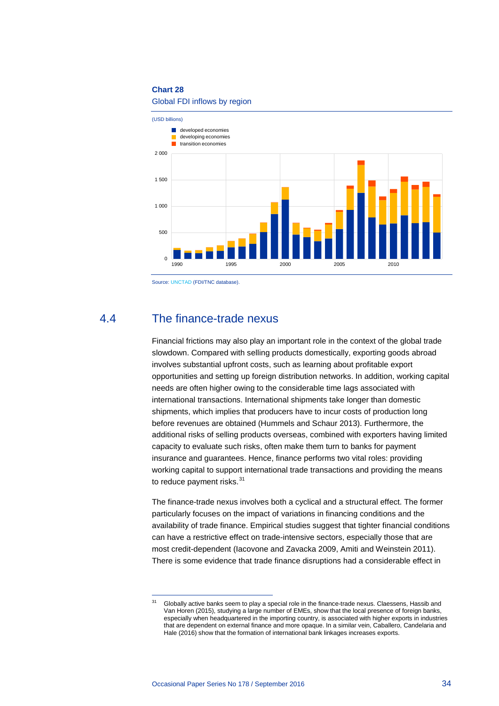#### **Chart 28**

## Global FDI inflows by region

<span id="page-34-1"></span>

Source[: UNCTAD](http://www.unctad.org/fdistatistics) (FDI/TNC database).

## <span id="page-34-0"></span>4.4 The finance-trade nexus

Financial frictions may also play an important role in the context of the global trade slowdown. Compared with selling products domestically, exporting goods abroad involves substantial upfront costs, such as learning about profitable export opportunities and setting up foreign distribution networks. In addition, working capital needs are often higher owing to the considerable time lags associated with international transactions. International shipments take longer than domestic shipments, which implies that producers have to incur costs of production long before revenues are obtained (Hummels and Schaur 2013). Furthermore, the additional risks of selling products overseas, combined with exporters having limited capacity to evaluate such risks, often make them turn to banks for payment insurance and guarantees. Hence, finance performs two vital roles: providing working capital to support international trade transactions and providing the means to reduce payment risks. $31$ 

The finance-trade nexus involves both a cyclical and a structural effect. The former particularly focuses on the impact of variations in financing conditions and the availability of trade finance. Empirical studies suggest that tighter financial conditions can have a restrictive effect on trade-intensive sectors, especially those that are most credit-dependent (Iacovone and Zavacka 2009, Amiti and Weinstein 2011). There is some evidence that trade finance disruptions had a considerable effect in

<span id="page-34-2"></span> $\overline{31}$ Globally active banks seem to play a special role in the finance-trade nexus. Claessens, Hassib and Van Horen (2015), studying a large number of EMEs, show that the local presence of foreign banks, especially when headquartered in the importing country, is associated with higher exports in industries that are dependent on external finance and more opaque. In a similar vein, Caballero, Candelaria and Hale (2016) show that the formation of international bank linkages increases exports.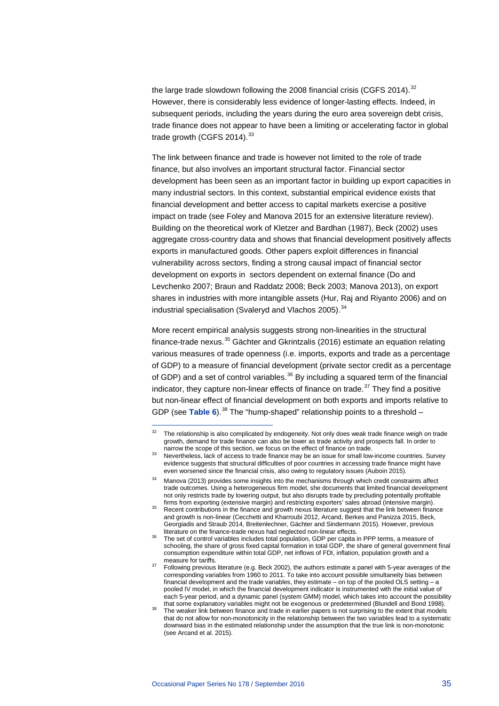the large trade slowdown following the 2008 financial crisis (CGFS 2014).  $32$ However, there is considerably less evidence of longer-lasting effects. Indeed, in subsequent periods, including the years during the euro area sovereign debt crisis, trade finance does not appear to have been a limiting or accelerating factor in global trade growth (CGFS 2014).<sup>[33](#page-35-1)</sup>

The link between finance and trade is however not limited to the role of trade finance, but also involves an important structural factor. Financial sector development has been seen as an important factor in building up export capacities in many industrial sectors. In this context, substantial empirical evidence exists that financial development and better access to capital markets exercise a positive impact on trade (see Foley and Manova 2015 for an extensive literature review). Building on the theoretical work of Kletzer and Bardhan (1987), Beck (2002) uses aggregate cross-country data and shows that financial development positively affects exports in manufactured goods. Other papers exploit differences in financial vulnerability across sectors, finding a strong causal impact of financial sector development on exports in sectors dependent on external finance (Do and Levchenko 2007; Braun and Raddatz 2008; Beck 2003; Manova 2013), on export shares in industries with more intangible assets (Hur, Raj and Riyanto 2006) and on industrial specialisation (Svaleryd and Vlachos 2005).<sup>[34](#page-35-2)</sup>

More recent empirical analysis suggests strong non-linearities in the structural finance-trade nexus.<sup>[35](#page-35-3)</sup> Gächter and Gkrintzalis (2016) estimate an equation relating various measures of trade openness (i.e. imports, exports and trade as a percentage of GDP) to a measure of financial development (private sector credit as a percentage of GDP) and a set of control variables. $36$  By including a squared term of the financial indicator, they capture non-linear effects of finance on trade. $37$  They find a positive but non-linear effect of financial development on both exports and imports relative to GDP (see [Table 6](#page-36-0)).<sup>[38](#page-35-6)</sup> The "hump-shaped" relationship points to a threshold –

<span id="page-35-0"></span> $32$ The relationship is also complicated by endogeneity. Not only does weak trade finance weigh on trade growth, demand for trade finance can also be lower as trade activity and prospects fall. In order to

<span id="page-35-1"></span><sup>133</sup> Nevertheless, lack of access to trade finance may be an issue for small low-income countries. Survey evidence suggests that structural difficulties of poor countries in accessing trade finance might have even worsened since the financial crisis, also owing to regulatory issues (Auboin 2015).

<span id="page-35-2"></span><sup>&</sup>lt;sup>34</sup> Manova (2013) provides some insights into the mechanisms through which credit constraints affect trade outcomes. Using a heterogeneous firm model, she documents that limited financial development not only restricts trade by lowering output, but also disrupts trade by precluding potentially profitable firms from exporting (extensive margin) and restricting exporters' sales abroad (intensive margin).

<span id="page-35-3"></span>firms from exporting (extensive margin) and restricting exporters' sales abroad (intensive margin). <sup>35</sup> Recent contributions in the finance and growth nexus literature suggest that the link between finance and growth is non-linear (Cecchetti and Kharroubi 2012, Arcand, Berkes and Panizza 2015, Beck, Georgiadis and Straub 2014, Breitenlechner, Gächter and Sindermann 2015). However, previous

<span id="page-35-4"></span>The set of control variables includes total population, GDP per capita in PPP terms, a measure of schooling, the share of gross fixed capital formation in total GDP, the share of general government final consumption expenditure within total GDP, net inflows of FDI, inflation, population growth and a

<span id="page-35-5"></span>are for tarifies.  $\frac{37}{2}$  Following previous literature (e.g. Beck 2002), the authors estimate a panel with 5-year averages of the corresponding variables from 1960 to 2011. To take into account possible simultaneity bias between financial development and the trade variables, they estimate – on top of the pooled OLS setting – a pooled IV model, in which the financial development indicator is instrumented with the initial value of each 5-year period, and a dynamic panel (system GMM) model, which takes into account the possibility that some explanatory variables might not be exogenous or predetermined (Blundell and Bond 1998).

<span id="page-35-6"></span>The weaker link between finance and trade in earlier papers is not surprising to the extent that models that do not allow for non-monotonicity in the relationship between the two variables lead to a systematic downward bias in the estimated relationship under the assumption that the true link is non-monotonic (see Arcand et al. 2015).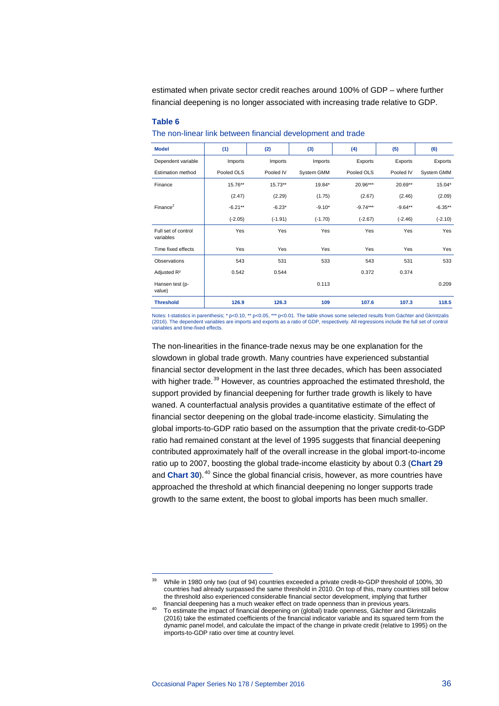estimated when private sector credit reaches around 100% of GDP – where further financial deepening is no longer associated with increasing trade relative to GDP.

#### <span id="page-36-0"></span>**Table 6**

| The non-linear link between financial development and trade |  |
|-------------------------------------------------------------|--|
|-------------------------------------------------------------|--|

| <b>Model</b>                     | (1)        | (2)       | (3)        | (4)        | (5)       | (6)        |
|----------------------------------|------------|-----------|------------|------------|-----------|------------|
| Dependent variable               | Imports    | Imports   | Imports    | Exports    | Exports   | Exports    |
| <b>Estimation method</b>         | Pooled OLS | Pooled IV | System GMM | Pooled OLS | Pooled IV | System GMM |
| Finance                          | $15.76**$  | $15.73**$ | 19.84*     | 20.96***   | $20.69**$ | 15.04*     |
|                                  | (2.47)     | (2.29)    | (1.75)     | (2.67)     | (2.46)    | (2.09)     |
| Finance <sup>2</sup>             | $-6.21**$  | $-6.23*$  | $-9.10*$   | $-9.74***$ | $-9.64**$ | $-6.35**$  |
|                                  | $(-2.05)$  | $(-1.91)$ | $(-1.70)$  | $(-2.67)$  | $(-2.46)$ | $(-2.10)$  |
| Full set of control<br>variables | Yes        | Yes       | Yes        | Yes        | Yes       | Yes        |
| Time fixed effects               | Yes        | Yes       | Yes        | Yes        | Yes       | Yes        |
| Observations                     | 543        | 531       | 533        | 543        | 531       | 533        |
| Adjusted R <sup>2</sup>          | 0.542      | 0.544     |            | 0.372      | 0.374     |            |
| Hansen test (p-<br>value)        |            |           | 0.113      |            |           | 0.209      |
| <b>Threshold</b>                 | 126.9      | 126.3     | 109        | 107.6      | 107.3     | 118.5      |

Notes: t-statistics in parenthesis; \* p<0.10, \*\* p<0.05, \*\*\* p<0.01. The table shows some selected results from Gächter and Gkrintzalis (2016). The dependent variables are imports and exports as a ratio of GDP, respectively. All regressions include the full set of control variables and time-fixed effects.

The non-linearities in the finance-trade nexus may be one explanation for the slowdown in global trade growth. Many countries have experienced substantial financial sector development in the last three decades, which has been associated with higher trade.<sup>[39](#page-36-1)</sup> However, as countries approached the estimated threshold, the support provided by financial deepening for further trade growth is likely to have waned. A counterfactual analysis provides a quantitative estimate of the effect of financial sector deepening on the global trade-income elasticity. Simulating the global imports-to-GDP ratio based on the assumption that the private credit-to-GDP ratio had remained constant at the level of 1995 suggests that financial deepening contributed approximately half of the overall increase in the global import-to-income ratio up to 2007, boosting the global trade-income elasticity by about 0.3 (**[Chart 29](#page-37-0)** and **[Chart 30](#page-37-1)**).<sup>[40](#page-36-2)</sup> Since the global financial crisis, however, as more countries have approached the threshold at which financial deepening no longer supports trade growth to the same extent, the boost to global imports has been much smaller.

-

<span id="page-36-1"></span><sup>&</sup>lt;sup>39</sup> While in 1980 only two (out of 94) countries exceeded a private credit-to-GDP threshold of 100%, 30 countries had already surpassed the same threshold in 2010. On top of this, many countries still below the threshold also experienced considerable financial sector development, implying that further<br>financial deepening has a much weaker effect on trade openness than in previous years.

<span id="page-36-2"></span>To estimate the impact of financial deepening on (global) trade openness, Gächter and Gkrintzalis (2016) take the estimated coefficients of the financial indicator variable and its squared term from the dynamic panel model, and calculate the impact of the change in private credit (relative to 1995) on the imports-to-GDP ratio over time at country level.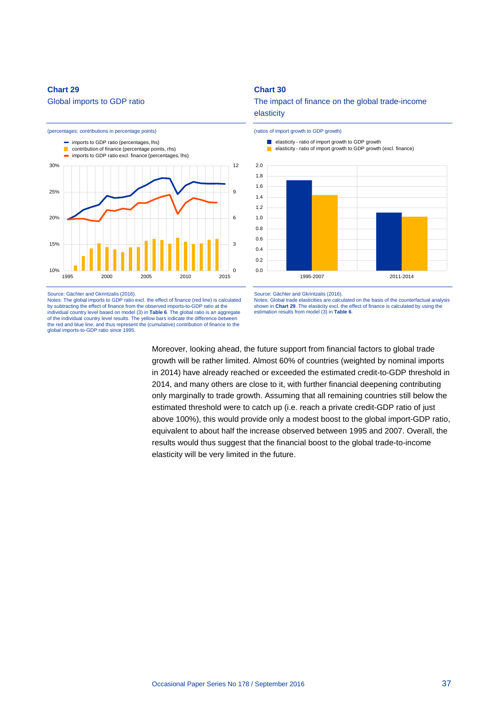#### <span id="page-37-0"></span>**Chart 29**

Global imports to GDP ratio



Source: Gächter and Gkrintzalis (2016). Notes: The global imports to GDP ratio excl. the effect of finance (red line) is calculated by subtracting the effect of finance from the observed imports-to-GDP ratio at the individual country level based on model (3) in **[Table 6](#page-36-0)**. The global ratio is an aggregate of the individual country level results. The yellow bars indicate the difference between the red and blue line, and thus represent the (cumulative) contribution of finance to the global imports-to-GDP ratio since 1995.

## <span id="page-37-1"></span>**Chart 30**

The impact of finance on the global trade-income elasticity



(ratios of import growth to GDP growth)

Source: Gächter and Gkrintzalis (2016).

Notes: Global trade elasticities are calculated on the basis of the counterfactual analysis shown in **[Chart 29](#page-37-0)**. The elasticity excl. the effect of finance is calculated by using the estimation results from model (3) in **[Table 6](#page-36-0)**.

Moreover, looking ahead, the future support from financial factors to global trade growth will be rather limited. Almost 60% of countries (weighted by nominal imports in 2014) have already reached or exceeded the estimated credit-to-GDP threshold in 2014, and many others are close to it, with further financial deepening contributing only marginally to trade growth. Assuming that all remaining countries still below the estimated threshold were to catch up (i.e. reach a private credit-GDP ratio of just above 100%), this would provide only a modest boost to the global import-GDP ratio, equivalent to about half the increase observed between 1995 and 2007. Overall, the results would thus suggest that the financial boost to the global trade-to-income elasticity will be very limited in the future.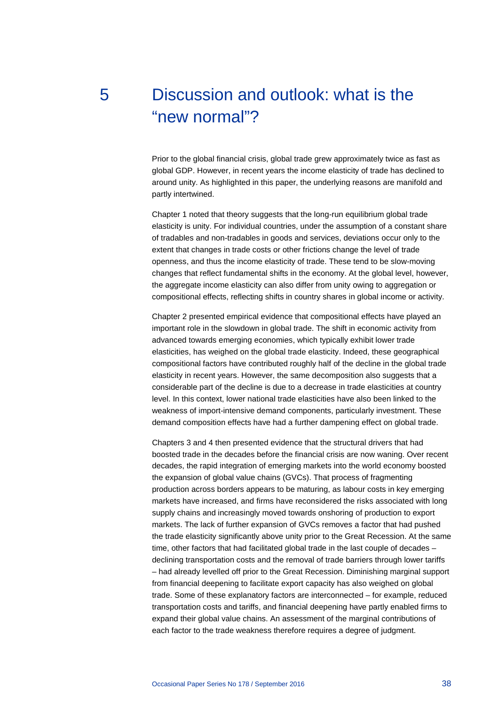# 5 Discussion and outlook: what is the "new normal"?

Prior to the global financial crisis, global trade grew approximately twice as fast as global GDP. However, in recent years the income elasticity of trade has declined to around unity. As highlighted in this paper, the underlying reasons are manifold and partly intertwined.

Chapter 1 noted that theory suggests that the long-run equilibrium global trade elasticity is unity. For individual countries, under the assumption of a constant share of tradables and non-tradables in goods and services, deviations occur only to the extent that changes in trade costs or other frictions change the level of trade openness, and thus the income elasticity of trade. These tend to be slow-moving changes that reflect fundamental shifts in the economy. At the global level, however, the aggregate income elasticity can also differ from unity owing to aggregation or compositional effects, reflecting shifts in country shares in global income or activity.

Chapter 2 presented empirical evidence that compositional effects have played an important role in the slowdown in global trade. The shift in economic activity from advanced towards emerging economies, which typically exhibit lower trade elasticities, has weighed on the global trade elasticity. Indeed, these geographical compositional factors have contributed roughly half of the decline in the global trade elasticity in recent years. However, the same decomposition also suggests that a considerable part of the decline is due to a decrease in trade elasticities at country level. In this context, lower national trade elasticities have also been linked to the weakness of import-intensive demand components, particularly investment. These demand composition effects have had a further dampening effect on global trade.

Chapters 3 and 4 then presented evidence that the structural drivers that had boosted trade in the decades before the financial crisis are now waning. Over recent decades, the rapid integration of emerging markets into the world economy boosted the expansion of global value chains (GVCs). That process of fragmenting production across borders appears to be maturing, as labour costs in key emerging markets have increased, and firms have reconsidered the risks associated with long supply chains and increasingly moved towards onshoring of production to export markets. The lack of further expansion of GVCs removes a factor that had pushed the trade elasticity significantly above unity prior to the Great Recession. At the same time, other factors that had facilitated global trade in the last couple of decades – declining transportation costs and the removal of trade barriers through lower tariffs – had already levelled off prior to the Great Recession. Diminishing marginal support from financial deepening to facilitate export capacity has also weighed on global trade. Some of these explanatory factors are interconnected – for example, reduced transportation costs and tariffs, and financial deepening have partly enabled firms to expand their global value chains. An assessment of the marginal contributions of each factor to the trade weakness therefore requires a degree of judgment.

<span id="page-38-0"></span>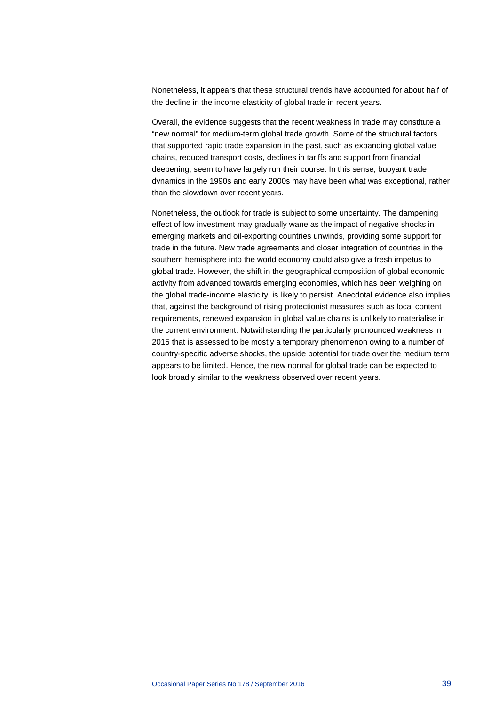Nonetheless, it appears that these structural trends have accounted for about half of the decline in the income elasticity of global trade in recent years.

Overall, the evidence suggests that the recent weakness in trade may constitute a "new normal" for medium-term global trade growth. Some of the structural factors that supported rapid trade expansion in the past, such as expanding global value chains, reduced transport costs, declines in tariffs and support from financial deepening, seem to have largely run their course. In this sense, buoyant trade dynamics in the 1990s and early 2000s may have been what was exceptional, rather than the slowdown over recent years.

Nonetheless, the outlook for trade is subject to some uncertainty. The dampening effect of low investment may gradually wane as the impact of negative shocks in emerging markets and oil-exporting countries unwinds, providing some support for trade in the future. New trade agreements and closer integration of countries in the southern hemisphere into the world economy could also give a fresh impetus to global trade. However, the shift in the geographical composition of global economic activity from advanced towards emerging economies, which has been weighing on the global trade-income elasticity, is likely to persist. Anecdotal evidence also implies that, against the background of rising protectionist measures such as local content requirements, renewed expansion in global value chains is unlikely to materialise in the current environment. Notwithstanding the particularly pronounced weakness in 2015 that is assessed to be mostly a temporary phenomenon owing to a number of country-specific adverse shocks, the upside potential for trade over the medium term appears to be limited. Hence, the new normal for global trade can be expected to look broadly similar to the weakness observed over recent years.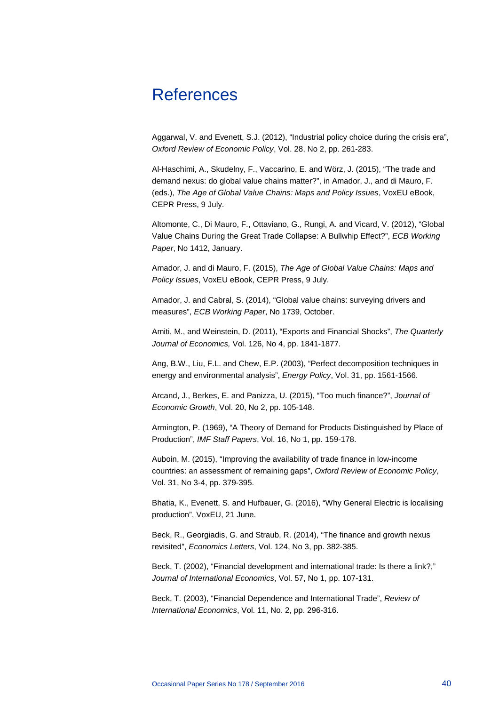## <span id="page-40-0"></span>References

Aggarwal, V. and Evenett, S.J. (2012), "Industrial policy choice during the crisis era", *Oxford Review of Economic Policy*, Vol. 28, No 2, pp. 261-283.

Al-Haschimi, A., Skudelny, F., Vaccarino, E. and Wörz, J. (2015), "The trade and demand nexus: do global value chains matter?", in Amador, J., and di Mauro, F. (eds.), *The Age of Global Value Chains: Maps and Policy Issues*, VoxEU eBook, CEPR Press, 9 July.

Altomonte, C., Di Mauro, F., Ottaviano, G., Rungi, A. and Vicard, V. (2012), "Global Value Chains During the Great Trade Collapse: A Bullwhip Effect?", *ECB Working Paper*, No 1412, January.

Amador, J. and di Mauro, F. (2015), *The Age of Global Value Chains: Maps and Policy Issues*, VoxEU eBook, CEPR Press, 9 July.

Amador, J. and Cabral, S. (2014), "Global value chains: surveying drivers and measures", *ECB Working Paper*, No 1739, October.

Amiti, M., and Weinstein, D. (2011), "Exports and Financial Shocks", *The Quarterly Journal of Economics,* Vol. 126, No 4, pp. 1841-1877.

Ang, B.W., Liu, F.L. and Chew, E.P. (2003), "Perfect decomposition techniques in energy and environmental analysis", *Energy Policy*, Vol. 31, pp. 1561-1566.

Arcand, J., Berkes, E. and Panizza, U. (2015), "Too much finance?", *Journal of Economic Growth*, Vol. 20, No 2, pp. 105-148.

Armington, P. (1969), "A Theory of Demand for Products Distinguished by Place of Production", *IMF Staff Papers*, Vol. 16, No 1, pp. 159-178.

Auboin, M. (2015), "Improving the availability of trade finance in low-income countries: an assessment of remaining gaps", *Oxford Review of Economic Policy*, Vol. 31, No 3-4, pp. 379-395.

Bhatia, K., Evenett, S. and Hufbauer, G. (2016), "Why General Electric is localising production", VoxEU, 21 June.

Beck, R., Georgiadis, G. and Straub, R. (2014), "The finance and growth nexus revisited", *Economics Letters*, Vol. 124, No 3, pp. 382-385.

Beck, T. (2002), "Financial development and international trade: Is there a link?," *Journal of International Economics*, Vol. 57, No 1, pp. 107-131.

Beck, T. (2003), "Financial Dependence and International Trade", *Review of International Economics*, Vol. 11, No. 2, pp. 296-316.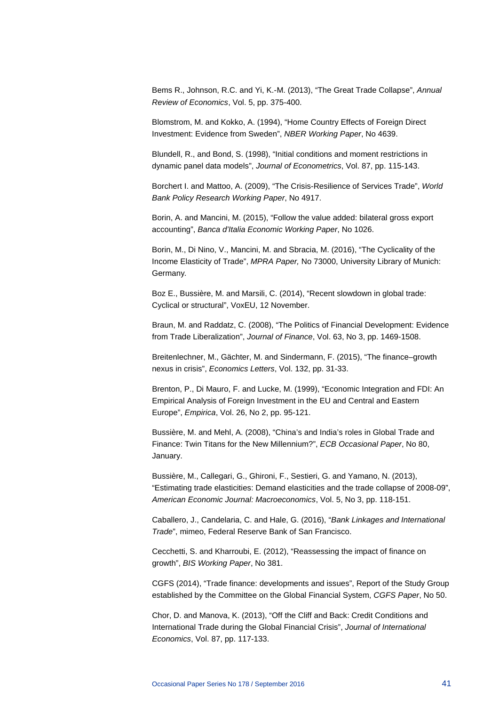Bems R., Johnson, R.C. and Yi, K.-M. (2013), "The Great Trade Collapse", *Annual Review of Economics*, Vol. 5, pp. 375-400.

Blomstrom, M. and Kokko, A. (1994), "Home Country Effects of Foreign Direct Investment: Evidence from Sweden", *NBER Working Paper*, No 4639.

Blundell, R., and Bond, S. (1998), "Initial conditions and moment restrictions in dynamic panel data models", *Journal of Econometrics*, Vol. 87, pp. 115-143.

Borchert I. and Mattoo, A. (2009), "The Crisis-Resilience of Services Trade", *World Bank Policy Research Working Paper*, No 4917.

Borin, A. and Mancini, M. (2015), "Follow the value added: bilateral gross export accounting", *Banca d'Italia Economic Working Paper*, No 1026.

Borin, M., Di Nino, V., Mancini, M. and Sbracia, M. (2016), "The Cyclicality of the Income Elasticity of Trade", *MPRA Paper,* No 73000, University Library of Munich: Germany*.*

Boz E., Bussière, M. and Marsili, C. (2014), "Recent slowdown in global trade: Cyclical or structural", VoxEU, 12 November.

Braun, M. and Raddatz, C. (2008), "The Politics of Financial Development: Evidence from Trade Liberalization", *Journal of Finance*, Vol. 63, No 3, pp. 1469-1508.

Breitenlechner, M., Gächter, M. and Sindermann, F. (2015), "The finance–growth nexus in crisis", *Economics Letters*, Vol. 132, pp. 31-33.

Brenton, P., Di Mauro, F. and Lucke, M. (1999), "Economic Integration and FDI: An Empirical Analysis of Foreign Investment in the EU and Central and Eastern Europe", *Empirica*, Vol. 26, No 2, pp. 95-121.

Bussière, M. and Mehl, A. (2008), "China's and India's roles in Global Trade and Finance: Twin Titans for the New Millennium?", *ECB Occasional Paper*, No 80, January.

Bussière, M., Callegari, G., Ghironi, F., Sestieri, G. and Yamano, N. (2013), "Estimating trade elasticities: Demand elasticities and the trade collapse of 2008-09", *American Economic Journal: Macroeconomics*, Vol. 5, No 3, pp. 118-151.

Caballero, J., Candelaria, C. and Hale, G. (2016), "*Bank Linkages and International Trade*", mimeo, Federal Reserve Bank of San Francisco.

Cecchetti, S. and Kharroubi, E. (2012), "Reassessing the impact of finance on growth", *BIS Working Paper*, No 381.

CGFS (2014), "Trade finance: developments and issues", Report of the Study Group established by the Committee on the Global Financial System, *CGFS Paper*, No 50.

Chor, D. and Manova, K. (2013), "Off the Cliff and Back: Credit Conditions and International Trade during the Global Financial Crisis", *Journal of International Economics*, Vol. 87, pp. 117-133.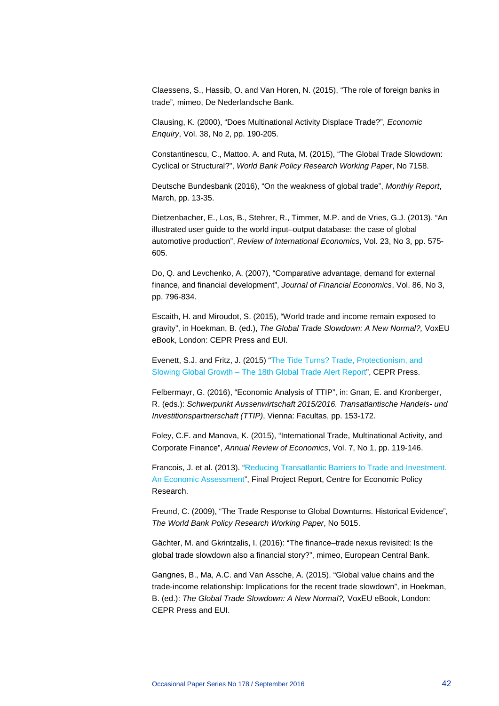Claessens, S., Hassib, O. and Van Horen, N. (2015), "The role of foreign banks in trade", mimeo, De Nederlandsche Bank.

Clausing, K. (2000), "Does Multinational Activity Displace Trade?", *Economic Enquiry*, Vol. 38, No 2, pp. 190-205.

Constantinescu, C., Mattoo, A. and Ruta, M. (2015), "The Global Trade Slowdown: Cyclical or Structural?", *World Bank Policy Research Working Paper*, No 7158.

Deutsche Bundesbank (2016), "On the weakness of global trade", *Monthly Report*, March, pp. 13-35.

Dietzenbacher, E., Los, B., Stehrer, R., Timmer, M.P. and de Vries, G.J. (2013). "An illustrated user guide to the world input–output database: the case of global automotive production", *Review of International Economics*, Vol. 23, No 3, pp. 575- 605.

Do, Q. and Levchenko, A. (2007), "Comparative advantage, demand for external finance, and financial development", *Journal of Financial Economics*, Vol. 86, No 3, pp. 796-834.

Escaith, H. and Miroudot, S. (2015), "World trade and income remain exposed to gravity", in Hoekman, B. (ed.), *The Global Trade Slowdown: A New Normal?,* VoxEU eBook, London: CEPR Press and EUI.

Evenett, S.J. and Fritz, J. (2015) ["The Tide Turns? Trade, Protectionism, and](http://www.globaltradealert.org/gta-analysis/tide-turns-trade-protectionism-and-slowing-global-growth)  Slowing Global Growth – [The 18th Global Trade Alert Report"](http://www.globaltradealert.org/gta-analysis/tide-turns-trade-protectionism-and-slowing-global-growth), CEPR Press.

Felbermayr, G. (2016), "Economic Analysis of TTIP", in: Gnan, E. and Kronberger, R. (eds.): *Schwerpunkt Aussenwirtschaft 2015/2016. Transatlantische Handels- und Investitionspartnerschaft (TTIP)*, Vienna: Facultas, pp. 153-172.

Foley, C.F. and Manova, K. (2015), "International Trade, Multinational Activity, and Corporate Finance", *Annual Review of Economics*, Vol. 7, No 1, pp. 119-146.

Francois, J. et al. (2013). ["Reducing Transatlantic Barriers to Trade and Investment.](http://trade.ec.europa.eu/doclib/docs/2013/march/tradoc_150737.pdf)  [An Economic Assessment"](http://trade.ec.europa.eu/doclib/docs/2013/march/tradoc_150737.pdf), Final Project Report, Centre for Economic Policy Research.

Freund, C. (2009), "The Trade Response to Global Downturns. Historical Evidence", *The World Bank Policy Research Working Paper*, No 5015.

Gächter, M. and Gkrintzalis, I. (2016): "The finance–trade nexus revisited: Is the global trade slowdown also a financial story?", mimeo, European Central Bank.

Gangnes, B., Ma, A.C. and Van Assche, A. (2015). "Global value chains and the trade-income relationship: Implications for the recent trade slowdown", in Hoekman, B. (ed.): *The Global Trade Slowdown: A New Normal?,* VoxEU eBook, London: CEPR Press and EUI.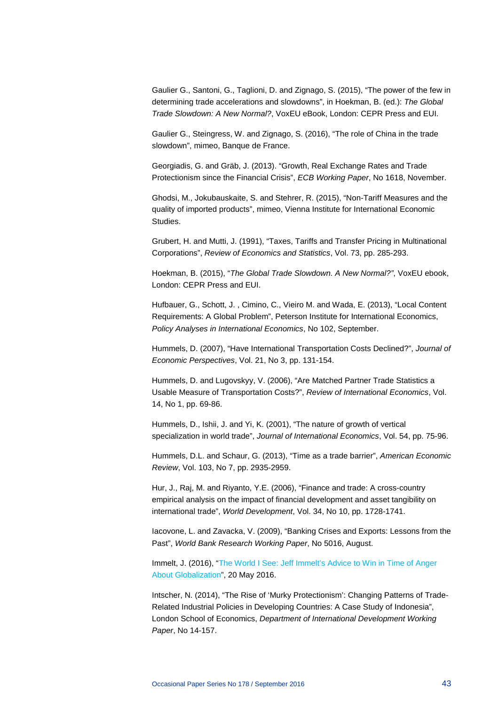Gaulier G., Santoni, G., Taglioni, D. and Zignago, S. (2015), "The power of the few in determining trade accelerations and slowdowns", in Hoekman, B. (ed.): *The Global Trade Slowdown: A New Normal?*, VoxEU eBook, London: CEPR Press and EUI.

Gaulier G., Steingress, W. and Zignago, S. (2016), "The role of China in the trade slowdown", mimeo, Banque de France.

Georgiadis, G. and Gräb, J. (2013). "Growth, Real Exchange Rates and Trade Protectionism since the Financial Crisis", *ECB Working Paper*, No 1618, November.

Ghodsi, M., Jokubauskaite, S. and Stehrer, R. (2015), "Non-Tariff Measures and the quality of imported products", mimeo, Vienna Institute for International Economic Studies.

Grubert, H. and Mutti, J. (1991), "Taxes, Tariffs and Transfer Pricing in Multinational Corporations", *Review of Economics and Statistics*, Vol. 73, pp. 285-293.

Hoekman, B. (2015), "*The Global Trade Slowdown. A New Normal?"*, VoxEU ebook, London: CEPR Press and EUI.

Hufbauer, G., Schott, J. , Cimino, C., Vieiro M. and Wada, E. (2013), "Local Content Requirements: A Global Problem", Peterson Institute for International Economics, *Policy Analyses in International Economics*, No 102, September.

Hummels, D. (2007), "Have International Transportation Costs Declined?", *Journal of Economic Perspectives*, Vol. 21, No 3, pp. 131-154.

Hummels, D. and Lugovskyy, V. (2006), "Are Matched Partner Trade Statistics a Usable Measure of Transportation Costs?", *Review of International Economics*, Vol. 14, No 1, pp. 69-86.

Hummels, D., Ishii, J. and Yi, K. (2001), "The nature of growth of vertical specialization in world trade", *Journal of International Economics*, Vol. 54, pp. 75-96.

Hummels, D.L. and Schaur, G. (2013), "Time as a trade barrier", *American Economic Review*, Vol. 103, No 7, pp. 2935-2959.

Hur, J., Raj, M. and Riyanto, Y.E. (2006), "Finance and trade: A cross-country empirical analysis on the impact of financial development and asset tangibility on international trade", *World Development*, Vol. 34, No 10, pp. 1728-1741.

Iacovone, L. and Zavacka, V. (2009), "Banking Crises and Exports: Lessons from the Past", *World Bank Research Working Paper*, No 5016, August.

Immelt, J. (2016), ["The World I See: Jeff Immelt's Advice to Win in Time of Anger](http://www.gereports.com/author/jeffrey-r-immelt-ge/)  [About Globalization"](http://www.gereports.com/author/jeffrey-r-immelt-ge/), 20 May 2016.

Intscher, N. (2014), "The Rise of 'Murky Protectionism': Changing Patterns of Trade-Related Industrial Policies in Developing Countries: A Case Study of Indonesia", London School of Economics, *Department of International Development Working Paper*, No 14-157.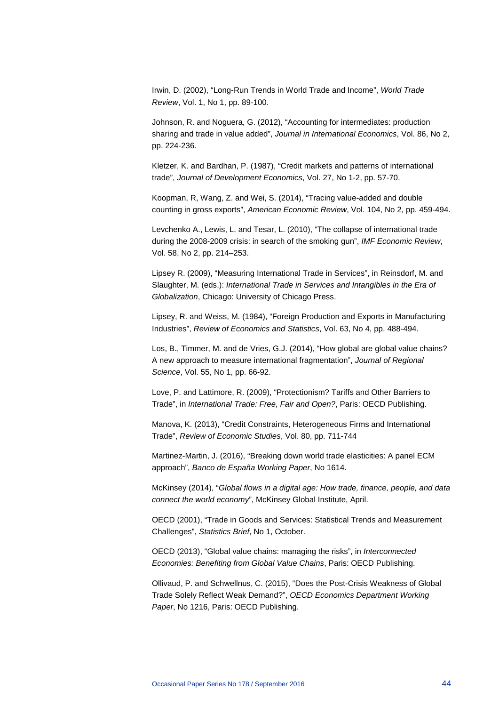Irwin, D. (2002), "Long-Run Trends in World Trade and Income", *World Trade Review*, Vol. 1, No 1, pp. 89-100.

Johnson, R. and Noguera, G. (2012), "Accounting for intermediates: production sharing and trade in value added", *Journal in International Economics*, Vol. 86, No 2, pp. 224-236.

Kletzer, K. and Bardhan, P. (1987), "Credit markets and patterns of international trade", *Journal of Development Economics*, Vol. 27, No 1-2, pp. 57-70.

Koopman, R, Wang, Z. and Wei, S. (2014), "Tracing value-added and double counting in gross exports", *American Economic Review*, Vol. 104, No 2, pp. 459-494.

Levchenko A., Lewis, L. and Tesar, L. (2010), "The collapse of international trade during the 2008-2009 crisis: in search of the smoking gun", *IMF Economic Review*, Vol. 58, No 2, pp. 214–253.

Lipsey R. (2009), "Measuring International Trade in Services", in Reinsdorf, M. and Slaughter, M. (eds.): *International Trade in Services and Intangibles in the Era of Globalization*, Chicago: University of Chicago Press.

Lipsey, R. and Weiss, M. (1984), "Foreign Production and Exports in Manufacturing Industries", *Review of Economics and Statistics*, Vol. 63, No 4, pp. 488-494.

Los, B., Timmer, M. and de Vries, G.J. (2014), "How global are global value chains? A new approach to measure international fragmentation", *Journal of Regional Science*, Vol. 55, No 1, pp. 66-92.

Love, P. and Lattimore, R. (2009), "Protectionism? Tariffs and Other Barriers to Trade", in *International Trade: Free, Fair and Open?*, Paris: OECD Publishing.

Manova, K. (2013), "Credit Constraints, Heterogeneous Firms and International Trade", *Review of Economic Studies*, Vol. 80, pp. 711-744

Martinez-Martin, J. (2016), "Breaking down world trade elasticities: A panel ECM approach", *Banco de España Working Paper*, No 1614.

McKinsey (2014), "*Global flows in a digital age: How trade, finance, people, and data connect the world economy*", McKinsey Global Institute, April.

OECD (2001), "Trade in Goods and Services: Statistical Trends and Measurement Challenges", *Statistics Brief*, No 1, October.

OECD (2013), "Global value chains: managing the risks", in *Interconnected Economies: Benefiting from Global Value Chains*, Paris: OECD Publishing.

Ollivaud, P. and Schwellnus, C. (2015), "Does the Post-Crisis Weakness of Global Trade Solely Reflect Weak Demand?", *OECD Economics Department Working Paper*, No 1216, Paris: OECD Publishing.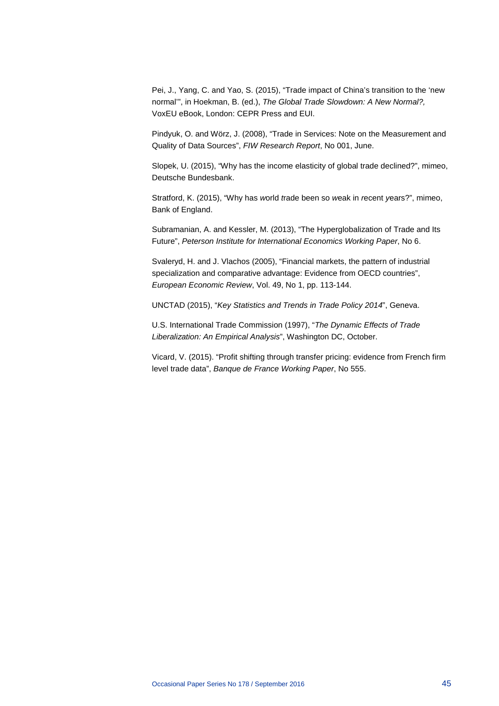Pei, J., Yang, C. and Yao, S. (2015), "Trade impact of China's transition to the 'new normal'", in Hoekman, B. (ed.), *The Global Trade Slowdown: A New Normal?,* VoxEU eBook, London: CEPR Press and EUI.

Pindyuk, O. and Wörz, J. (2008), "Trade in Services: Note on the Measurement and Quality of Data Sources", *FIW Research Report*, No 001, June.

Slopek, U. (2015), "Why has the income elasticity of global trade declined?", mimeo, Deutsche Bundesbank.

Stratford, K. (2015), "Why has *w*orld *t*rade been so *w*eak in *r*ecent *y*ears?", mimeo, Bank of England.

Subramanian, A. and Kessler, M. (2013), "The Hyperglobalization of Trade and Its Future", *Peterson Institute for International Economics Working Paper*, No 6.

Svaleryd, H. and J. Vlachos (2005), "Financial markets, the pattern of industrial specialization and comparative advantage: Evidence from OECD countries", *European Economic Review*, Vol. 49, No 1, pp. 113-144.

UNCTAD (2015), "*Key Statistics and Trends in Trade Policy 2014*", Geneva.

U.S. International Trade Commission (1997), "*The Dynamic Effects of Trade Liberalization: An Empirical Analysis*", Washington DC, October.

Vicard, V. (2015). "Profit shifting through transfer pricing: evidence from French firm level trade data", *Banque de France Working Paper*, No 555.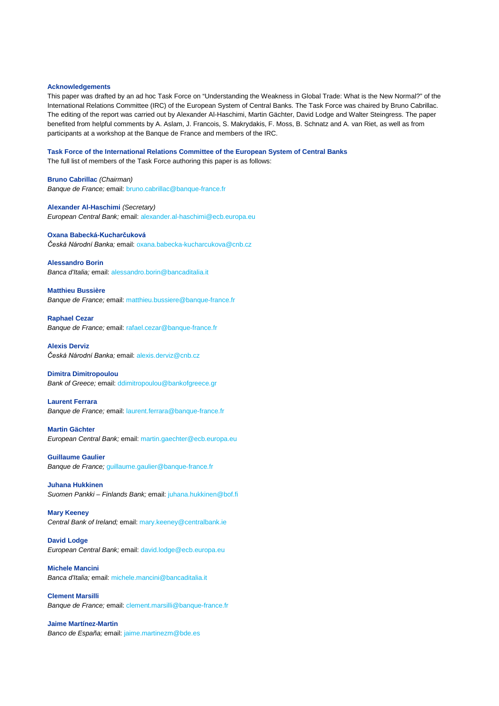#### <span id="page-46-0"></span>**Acknowledgements**

This paper was drafted by an ad hoc Task Force on "Understanding the Weakness in Global Trade: What is the New Normal?" of the International Relations Committee (IRC) of the European System of Central Banks. The Task Force was chaired by Bruno Cabrillac. The editing of the report was carried out by Alexander Al-Haschimi, Martin Gächter, David Lodge and Walter Steingress. The paper benefited from helpful comments by A. Aslam, J. Francois, S. Makrydakis, F. Moss, B. Schnatz and A. van Riet, as well as from participants at a workshop at the Banque de France and members of the IRC.

**Task Force of the International Relations Committee of the European System of Central Banks**

The full list of members of the Task Force authoring this paper is as follows:

**Bruno Cabrillac** *(Chairman) Banque de France;* email[: bruno.cabrillac@banque-france.fr](mailto:bruno.cabrillac@banque-france.fr)

**Alexander Al-Haschimi** *(Secretary) European Central Bank;* email: [alexander.al-haschimi@ecb.europa.eu](mailto:alexander.al-haschimi@ecb.europa.eu)

#### **Oxana Babecká-Kucharčuková**

*Česká Národní Banka;* email: [oxana.babecka-kucharcukova@cnb.cz](mailto:oxana.babecka-kucharcukova@cnb.cz)

**Alessandro Borin** *Banca d'Italia;* email: [alessandro.borin@bancaditalia.it](mailto:alessandro.borin@bancaditalia.it)

**Matthieu Bussière** *Banque de France;* email: [matthieu.bussiere@banque-france.fr](mailto:matthieu.bussiere@banque-france.fr)

**Raphael Cezar** *Banque de France;* email: [rafael.cezar@banque-france.fr](mailto:rafael.cezar@banque-france.fr)

**Alexis Derviz** *Česká Národní Banka;* email: [alexis.derviz@cnb.cz](mailto:alexis.derviz@cnb.cz)

#### **Dimitra Dimitropoulou**

*Bank of Greece;* email: [ddimitropoulou@bankofgreece.gr](mailto:ddimitropoulou@bankofgreece.gr)

**Laurent Ferrara** *Banque de France;* email: [laurent.ferrara@banque-france.fr](mailto:laurent.ferrara@banque-france.fr)

#### **Martin Gächter**

*European Central Bank;* email: [martin.gaechter@ecb.europa.eu](mailto:martin.gaechter@ecb.europa.eu)

**Guillaume Gaulier** *Banque de France;* [guillaume.gaulier@banque-france.fr](mailto:guillaume.gaulier@banque-france.fr)

**Juhana Hukkinen** *Suomen Pankki – Finlands Bank;* email: [juhana.hukkinen@bof.fi](mailto:juhana.hukkinen@bof.fi)

**Mary Keeney** *Central Bank of Ireland;* email: [mary.keeney@centralbank.ie](mailto:mary.keeney@centralbank.ie)

**David Lodge** *European Central Bank;* email: [david.lodge@ecb.europa.eu](mailto:david.lodge@ecb.europa.eu)

**Michele Mancini** *Banca d'Italia;* email: [michele.mancini@bancaditalia.it](mailto:michele.mancini@bancaditalia.it)

**Clement Marsilli** *Banque de France;* email: [clement.marsilli@banque-france.fr](mailto:clement.marsilli@banque-france.fr)

**Jaime Martínez-Martin** *Banco de España;* email: [jaime.martinezm@bde.es](mailto:jaime.martinezm@bde.es)